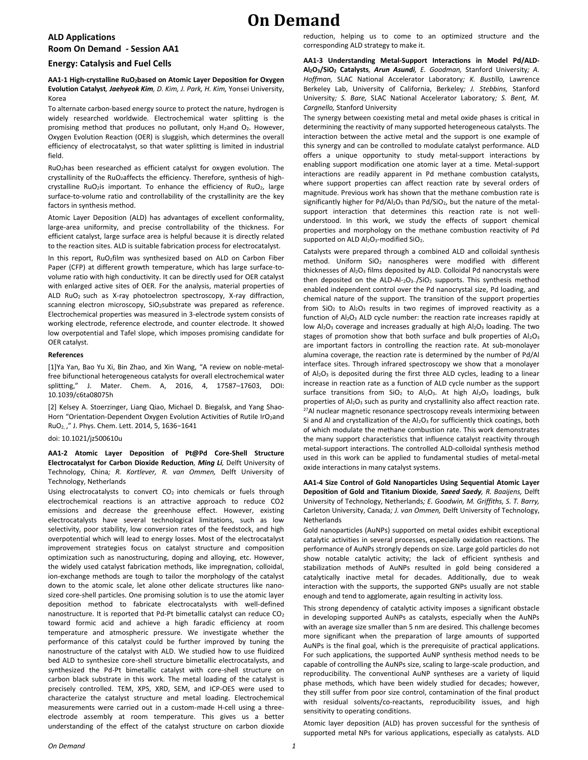#### **ALD Applications Room On Demand - Session AA1**

#### **Energy: Catalysis and Fuel Cells**

**AA1-1 High-crystalline RuO2based on Atomic Layer Deposition for Oxygen Evolution Catalyst***, Jaehyeok Kim, D. Kim, J. Park, H. Kim,* Yonsei University, Korea

To alternate carbon-based energy source to protect the nature, hydrogen is widely researched worldwide. Electrochemical water splitting is the promising method that produces no pollutant, only  $H_2$ and  $O_2$ . However, Oxygen Evolution Reaction (OER) is sluggish, which determines the overall efficiency of electrocatalyst, so that water splitting is limited in industrial field.

RuO2has been researched as efficient catalyst for oxygen evolution. The crystallinity of the RuO<sub>2</sub>affects the efficiency. Therefore, synthesis of highcrystalline RuO<sub>2</sub>is important. To enhance the efficiency of RuO<sub>2</sub>, large surface-to-volume ratio and controllability of the crystallinity are the key factors in synthesis method.

Atomic Layer Deposition (ALD) has advantages of excellent conformality, large-area uniformity, and precise controllability of the thickness. For efficient catalyst, large surface area is helpful because it is directly related to the reaction sites. ALD is suitable fabrication process for electrocatalyst.

In this report, RuO<sub>2</sub>film was synthesized based on ALD on Carbon Fiber Paper (CFP) at different growth temperature, which has large surface-tovolume ratio with high conductivity. It can be directly used for OER catalyst with enlarged active sites of OER. For the analysis, material properties of ALD RuO2 such as X-ray photoelectron spectroscopy, X-ray diffraction, scanning electron microscopy, SiO2substrate was prepared as reference. Electrochemical properties was measured in 3-electrode system consists of working electrode, reference electrode, and counter electrode. It showed low overpotential and Tafel slope, which imposes promising candidate for OER catalyst.

#### **References**

[1]Ya Yan, Bao Yu Xi, Bin Zhao, and Xin Wang, "A review on noble-metalfree bifunctional heterogeneous catalysts for overall electrochemical water splitting," J. Mater. Chem. A, 2016, 4, 17587–17603, DOI: 10.1039/c6ta08075h

[2] Kelsey A. Stoerzinger, Liang Qiao, Michael D. Biegalsk, and Yang Shao-Horn "Orientation-Dependent Oxygen Evolution Activities of Rutile IrO<sub>2</sub>and RuO2, ," J. Phys. Chem. Lett. 2014, 5, 1636−1641

#### doi: 10.1021/jz500610u

**AA1-2 Atomic Layer Deposition of Pt@Pd Core-Shell Structure Electrocatalyst for Carbon Dioxide Reduction***, Ming Li,* Delft University of Technology, China*; R. Kortlever, R. van Ommen,* Delft University of Technology, Netherlands

Using electrocatalysts to convert  $CO<sub>2</sub>$  into chemicals or fuels through electrochemical reactions is an attractive approach to reduce CO2 emissions and decrease the greenhouse effect. However, existing electrocatalysts have several technological limitations, such as low selectivity, poor stability, low conversion rates of the feedstock, and high overpotential which will lead to energy losses. Most of the electrocatalyst improvement strategies focus on catalyst structure and composition optimization such as nanostructuring, doping and alloying, etc. However, the widely used catalyst fabrication methods, like impregnation, colloidal, ion-exchange methods are tough to tailor the morphology of the catalyst down to the atomic scale, let alone other delicate structures like nanosized core-shell particles. One promising solution is to use the atomic layer deposition method to fabricate electrocatalysts with well-defined nanostructure. It is reported that Pd-Pt bimetallic catalyst can reduce CO<sup>2</sup> toward formic acid and achieve a high faradic efficiency at room temperature and atmospheric pressure. We investigate whether the performance of this catalyst could be further improved by tuning the nanostructure of the catalyst with ALD. We studied how to use fluidized bed ALD to synthesize core-shell structure bimetallic electrocatalysts, and synthesized the Pd-Pt bimetallic catalyst with core-shell structure on carbon black substrate in this work. The metal loading of the catalyst is precisely controlled. TEM, XPS, XRD, SEM, and ICP-OES were used to characterize the catalyst structure and metal loading. Electrochemical measurements were carried out in a custom-made H-cell using a threeelectrode assembly at room temperature. This gives us a better understanding of the effect of the catalyst structure on carbon dioxide

reduction, helping us to come to an optimized structure and the corresponding ALD strategy to make it.

**AA1-3 Understanding Metal-Support Interactions in Model Pd/ALD-Al2O3/SiO<sup>2</sup> Catalysts***, Arun Asundi, E. Goodman,* Stanford University*; A. Hoffman,* SLAC National Accelerator Laboratory*; K. Bustillo,* Lawrence Berkeley Lab, University of California, Berkeley*; J. Stebbins,* Stanford University*; S. Bare,* SLAC National Accelerator Laboratory*; S. Bent, M. Cargnello,* Stanford University

The synergy between coexisting metal and metal oxide phases is critical in determining the reactivity of many supported heterogeneous catalysts. The interaction between the active metal and the support is one example of this synergy and can be controlled to modulate catalyst performance. ALD offers a unique opportunity to study metal-support interactions by enabling support modification one atomic layer at a time. Metal-support interactions are readily apparent in Pd methane combustion catalysts, where support properties can affect reaction rate by several orders of magnitude. Previous work has shown that the methane combustion rate is significantly higher for  $Pd/Al_2O_3$  than  $Pd/SiO_2$ , but the nature of the metalsupport interaction that determines this reaction rate is not wellunderstood. In this work, we study the effects of support chemical properties and morphology on the methane combustion reactivity of Pd supported on ALD Al<sub>2</sub>O<sub>3</sub>-modified SiO<sub>2</sub>.

Catalysts were prepared through a combined ALD and colloidal synthesis method. Uniform SiO<sub>2</sub> nanospheres were modified with different thicknesses of Al<sub>2</sub>O<sub>3</sub> films deposited by ALD. Colloidal Pd nanocrystals were then deposited on the ALD-Al-2O3--/SiO<sup>2</sup> supports. This synthesis method enabled independent control over the Pd nanocrystal size, Pd loading, and chemical nature of the support. The transition of the support properties from  $SiO<sub>2</sub>$  to  $Al<sub>2</sub>O<sub>3</sub>$  results in two regimes of improved reactivity as a function of  $Al_2O_3$  ALD cycle number: the reaction rate increases rapidly at low Al<sub>2</sub>O<sub>3</sub> coverage and increases gradually at high Al<sub>2</sub>O<sub>3</sub> loading. The two stages of promotion show that both surface and bulk properties of  $Al_2O_3$ are important factors in controlling the reaction rate. At sub-monolayer alumina coverage, the reaction rate is determined by the number of Pd/Al interface sites. Through infrared spectroscopy we show that a monolayer of  $Al_2O_3$  is deposited during the first three ALD cycles, leading to a linear increase in reaction rate as a function of ALD cycle number as the support surface transitions from  $SiO<sub>2</sub>$  to  $Al<sub>2</sub>O<sub>3</sub>$ . At high  $Al<sub>2</sub>O<sub>3</sub>$  loadings, bulk properties of  $Al_2O_3$  such as purity and crystallinity also affect reaction rate. <sup>27</sup>Al nuclear magnetic resonance spectroscopy reveals intermixing between Si and Al and crystallization of the  $Al_2O_3$  for sufficiently thick coatings, both of which modulate the methane combustion rate. This work demonstrates the many support characteristics that influence catalyst reactivity through metal-support interactions. The controlled ALD-colloidal synthesis method used in this work can be applied to fundamental studies of metal-metal oxide interactions in many catalyst systems.

**AA1-4 Size Control of Gold Nanoparticles Using Sequential Atomic Layer Deposition of Gold and Titanium Dioxide***, Saeed Saedy, R. Baaijens,* Delft University of Technology, Netherlands*; E. Goodwin, M. Griffiths, S. T. Barry,*  Carleton University, Canada*; J. van Ommen,* Delft University of Technology, **Netherlands** 

Gold nanoparticles (AuNPs) supported on metal oxides exhibit exceptional catalytic activities in several processes, especially oxidation reactions. The performance of AuNPs strongly depends on size. Large gold particles do not show notable catalytic activity; the lack of efficient synthesis and stabilization methods of AuNPs resulted in gold being considered a catalytically inactive metal for decades. Additionally, due to weak interaction with the supports, the supported GNPs usually are not stable enough and tend to agglomerate, again resulting in activity loss.

This strong dependency of catalytic activity imposes a significant obstacle in developing supported AuNPs as catalysts, especially when the AuNPs with an average size smaller than 5 nm are desired. This challenge becomes more significant when the preparation of large amounts of supported AuNPs is the final goal, which is the prerequisite of practical applications. For such applications, the supported AuNP synthesis method needs to be capable of controlling the AuNPs size, scaling to large-scale production, and reproducibility. The conventional AuNP syntheses are a variety of liquid phase methods, which have been widely studied for decades; however, they still suffer from poor size control, contamination of the final product with residual solvents/co-reactants, reproducibility issues, and high sensitivity to operating conditions.

Atomic layer deposition (ALD) has proven successful for the synthesis of supported metal NPs for various applications, especially as catalysts. ALD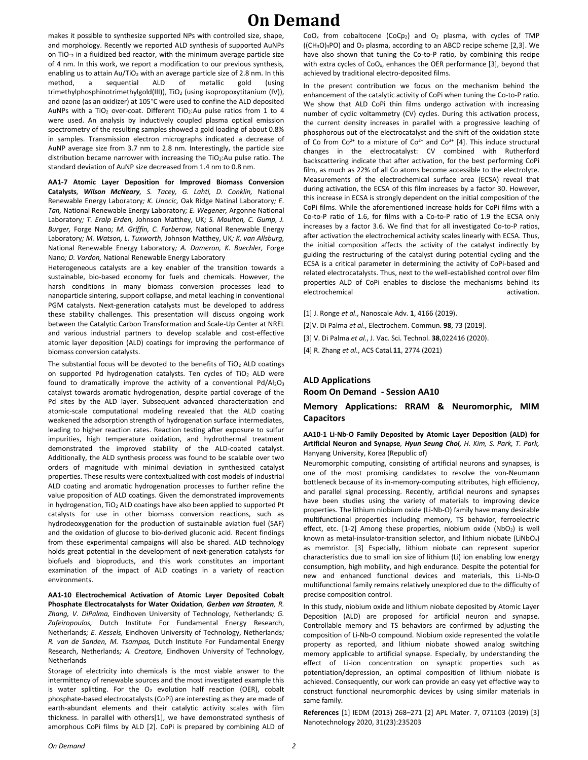makes it possible to synthesize supported NPs with controlled size, shape, and morphology. Recently we reported ALD synthesis of supported AuNPs on TiO-<sup>2</sup> in a fluidized bed reactor, with the minimum average particle size of 4 nm. In this work, we report a modification to our previous synthesis, enabling us to attain  $Au/TiO<sub>2</sub>$  with an average particle size of 2.8 nm. In this method, a sequential ALD of metallic gold (using trimethylphosphinotrimethylgold(III)), TiO<sub>2</sub> (using isopropoxytitanium (IV)), and ozone (as an oxidizer) at 105°C were used to confine the ALD deposited AuNPs with a TiO<sub>2</sub> over-coat. Different TiO<sub>2</sub>:Au pulse ratios from 1 to 4 were used. An analysis by inductively coupled plasma optical emission spectrometry of the resulting samples showed a gold loading of about 0.8% in samples. Transmission electron micrographs indicated a decrease of AuNP average size from 3.7 nm to 2.8 nm. Interestingly, the particle size distribution became narrower with increasing the TiO<sub>2</sub>:Au pulse ratio. The standard deviation of AuNP size decreased from 1.4 nm to 0.8 nm.

**AA1-7 Atomic Layer Deposition for Improved Biomass Conversion Catalysts***, Wilson McNeary, S. Tacey, G. Lahti, D. Conklin,* National Renewable Energy Laboratory*; K. Unocic,* Oak Ridge Natinal Laboratory*; E. Tan,* National Renewable Energy Laboratory*; E. Wegener,* Argonne National Laboratory*; T. Eralp Erden,* Johnson Matthey, UK*; S. Moulton, C. Gump, J. Burger,* Forge Nano*; M. Griffin, C. Farberow,* National Renewable Energy Laboratory*; M. Watson, L. Tuxworth,* Johnson Matthey, UK*; K. van Allsburg,*  National Renewable Energy Laboratory*; A. Dameron, K. Buechler,* Forge Nano*; D. Vardon,* National Renewable Energy Laboratory

Heterogeneous catalysts are a key enabler of the transition towards a sustainable, bio-based economy for fuels and chemicals. However, the harsh conditions in many biomass conversion processes lead to nanoparticle sintering, support collapse, and metal leaching in conventional PGM catalysts. Next-generation catalysts must be developed to address these stability challenges. This presentation will discuss ongoing work between the Catalytic Carbon Transformation and Scale-Up Center at NREL and various industrial partners to develop scalable and cost-effective atomic layer deposition (ALD) coatings for improving the performance of biomass conversion catalysts.

The substantial focus will be devoted to the benefits of TiO<sub>2</sub> ALD coatings on supported Pd hydrogenation catalysts. Ten cycles of  $TiO<sub>2</sub>$  ALD were found to dramatically improve the activity of a conventional  $Pd/Al_2O_3$ catalyst towards aromatic hydrogenation, despite partial coverage of the Pd sites by the ALD layer. Subsequent advanced characterization and atomic-scale computational modeling revealed that the ALD coating weakened the adsorption strength of hydrogenation surface intermediates, leading to higher reaction rates. Reaction testing after exposure to sulfur impurities, high temperature oxidation, and hydrothermal treatment demonstrated the improved stability of the ALD-coated catalyst. Additionally, the ALD synthesis process was found to be scalable over two orders of magnitude with minimal deviation in synthesized catalyst properties. These results were contextualized with cost models of industrial ALD coating and aromatic hydrogenation processes to further refine the value proposition of ALD coatings. Given the demonstrated improvements in hydrogenation, TiO<sub>2</sub> ALD coatings have also been applied to supported Pt catalysts for use in other biomass conversion reactions, such as hydrodeoxygenation for the production of sustainable aviation fuel (SAF) and the oxidation of glucose to bio-derived gluconic acid. Recent findings from these experimental campaigns will also be shared. ALD technology holds great potential in the development of next-generation catalysts for biofuels and bioproducts, and this work constitutes an important examination of the impact of ALD coatings in a variety of reaction environments.

**AA1-10 Electrochemical Activation of Atomic Layer Deposited Cobalt Phosphate Electrocatalysts for Water Oxidation***, Gerben van Straaten, R. Zhang, V. DiPalma,* Eindhoven University of Technology, Netherlands*; G. Zafeiropoulos,* Dutch Institute For Fundamental Energy Research, Netherlands*; E. Kessels,* Eindhoven University of Technology, Netherlands*; R. van de Sanden, M. Tsampas,* Dutch Institute For Fundamental Energy Research, Netherlands*; A. Creatore,* Eindhoven University of Technology, **Netherlands** 

Storage of electricity into chemicals is the most viable answer to the intermittency of renewable sources and the most investigated example this is water splitting. For the  $O<sub>2</sub>$  evolution half reaction (OER), cobalt phosphate-based electrocatalysts (CoPi) are interesting as they are made of earth-abundant elements and their catalytic activity scales with film thickness. In parallel with others[1], we have demonstrated synthesis of amorphous CoPi films by ALD [2]. CoPi is prepared by combining ALD of  $CoO<sub>x</sub>$  from cobaltocene (CoCp<sub>2</sub>) and  $O<sub>2</sub>$  plasma, with cycles of TMP  $((CH<sub>3</sub>O)<sub>3</sub>PO)$  and  $O<sub>2</sub>$  plasma, according to an ABCD recipe scheme [2,3]. We have also shown that tuning the Co-to-P ratio, by combining this recipe with extra cycles of CoO<sub>x</sub>, enhances the OER performance [3], beyond that achieved by traditional electro-deposited films.

In the present contribution we focus on the mechanism behind the enhancement of the catalytic activity of CoPi when tuning the Co-to-P ratio. We show that ALD CoPi thin films undergo activation with increasing number of cyclic voltammetry (CV) cycles. During this activation process, the current density increases in parallel with a progressive leaching of phosphorous out of the electrocatalyst and the shift of the oxidation state of Co from  $Co^{2+}$  to a mixture of  $Co^{2+}$  and  $Co^{3+}$  [4]. This induce structural changes in the electrocatalyst: CV combined with Rutherford backscattering indicate that after activation, for the best performing CoPi film, as much as 22% of all Co atoms become accessible to the electrolyte. Measurements of the electrochemical surface area (ECSA) reveal that during activation, the ECSA of this film increases by a factor 30. However, this increase in ECSA is strongly dependent on the initial composition of the CoPi films. While the aforementioned increase holds for CoPi films with a Co-to-P ratio of 1.6, for films with a Co-to-P ratio of 1.9 the ECSA only increases by a factor 3.6. We find that for all investigated Co-to-P ratios, after activation the electrochemical activity scales linearly with ECSA. Thus, the initial composition affects the activity of the catalyst indirectly by guiding the restructuring of the catalyst during potential cycling and the ECSA is a critical parameter in determining the activity of CoPi-based and related electrocatalysts. Thus, next to the well-established control over film properties ALD of CoPi enables to disclose the mechanisms behind its electrochemical activation.

- [1] J. Ronge *et al*., Nanoscale Adv. **1**, 4166 (2019).
- [2]V. Di Palma *et al*., Electrochem. Commun. **98**, 73 (2019).
- [3] V. Di Palma *et al*., J. Vac. Sci. Technol. **38**,022416 (2020).
- [4] R. Zhang *et al*., ACS Catal*.***11**, 2774 (2021)

### **ALD Applications Room On Demand - Session AA10**

**Memory Applications: RRAM & Neuromorphic, MIM** 

### **Capacitors AA10-1 Li-Nb-O Family Deposited by Atomic Layer Deposition (ALD) for**

**Artificial Neuron and Synapse***, Hyun Seung Choi, H. Kim, S. Park, T. Park,*  Hanyang University, Korea (Republic of)

Neuromorphic computing, consisting of artificial neurons and synapses, is one of the most promising candidates to resolve the von-Neumann bottleneck because of its in-memory-computing attributes, high efficiency, and parallel signal processing. Recently, artificial neurons and synapses have been studies using the variety of materials to improving device properties. The lithium niobium oxide (Li-Nb-O) family have many desirable multifunctional properties including memory, TS behavior, ferroelectric effect, etc. [1-2] Among these properties, niobium oxide (NbO<sub>2</sub>) is well known as metal-insulator-transition selector, and lithium niobate (LiNbO<sub>x</sub>) as memristor. [3] Especially, lithium niobate can represent superior characteristics due to small ion size of lithium (Li) ion enabling low energy consumption, high mobility, and high endurance. Despite the potential for new and enhanced functional devices and materials, this Li-Nb-O multifunctional family remains relatively unexplored due to the difficulty of precise composition control.

In this study, niobium oxide and lithium niobate deposited by Atomic Layer Deposition (ALD) are proposed for artificial neuron and synapse. Controllable memory and TS behaviors are confirmed by adjusting the composition of Li-Nb-O compound. Niobium oxide represented the volatile property as reported, and lithium niobate showed analog switching memory applicable to artificial synapse. Especially, by understanding the effect of Li-ion concentration on synaptic properties such as potentiation/depression, an optimal composition of lithium niobate is achieved. Consequently, our work can provide an easy yet effective way to construct functional neuromorphic devices by using similar materials in same family.

**References** [1] IEDM (2013) 268–271 [2] APL Mater. 7, 071103 (2019) [3] Nanotechnology 2020, 31(23):235203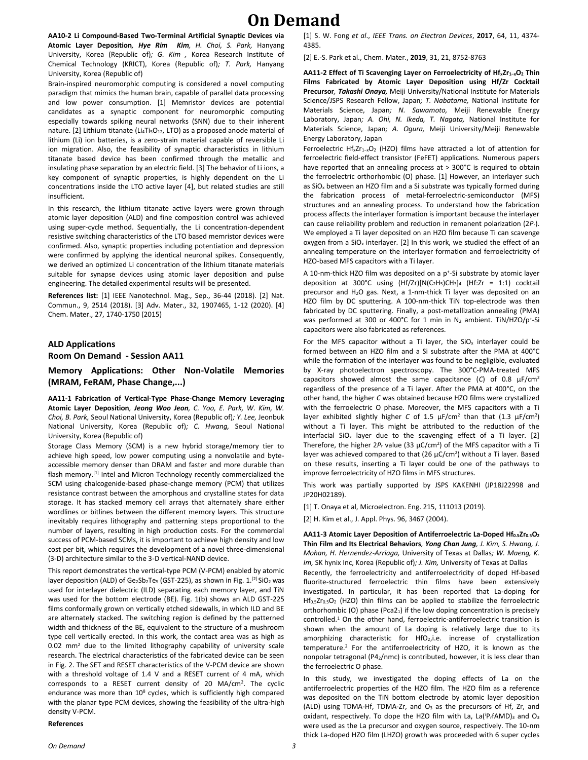**AA10-2 Li Compound-Based Two-Terminal Artificial Synaptic Devices via Atomic Layer Deposition***, Hye Rim Kim, H. Choi, S. Park,* Hanyang University, Korea (Republic of)*; G. Kim ,* Korea Research Institute of Chemical Technology (KRICT), Korea (Republic of)*; T. Park,* Hanyang University, Korea (Republic of)

Brain-inspired neuromorphic computing is considered a novel computing paradigm that mimics the human brain, capable of parallel data processing and low power consumption. [1] Memristor devices are potential candidates as a synaptic component for neuromorphic computing especially towards spiking neural networks (SNN) due to their inherent nature. [2] Lithium titanate (Li4Ti<sub>5</sub>O<sub>12</sub>, LTO) as a proposed anode material of lithium (Li) ion batteries, is a zero-strain material capable of reversible Li ion migration. Also, the feasibility of synaptic characteristics in lithium titanate based device has been confirmed through the metallic and insulating phase separation by an electric field. [3] The behavior of Li ions, a key component of synaptic properties, is highly dependent on the Li concentrations inside the LTO active layer [4], but related studies are still insufficient.

In this research, the lithium titanate active layers were grown through atomic layer deposition (ALD) and fine composition control was achieved using super-cycle method. Sequentially, the Li concentration-dependent resistive switching characteristics of the LTO based memristor devices were confirmed. Also, synaptic properties including potentiation and depression were confirmed by applying the identical neuronal spikes. Consequently, we derived an optimized Li concentration of the lithium titanate materials suitable for synapse devices using atomic layer deposition and pulse engineering. The detailed experimental results will be presented.

**References list:** [1] IEEE Nanotechnol. Mag., Sep., 36-44 (2018). [2] Nat. Commun., 9, 2514 (2018). [3] Adv. Mater., 32, 1907465, 1-12 (2020). [4] Chem. Mater., 27, 1740-1750 (2015)

#### **ALD Applications**

**Room On Demand - Session AA11**

**Memory Applications: Other Non-Volatile Memories (MRAM, FeRAM, Phase Change,...)**

**AA11-1 Fabrication of Vertical-Type Phase-Change Memory Leveraging Atomic Layer Deposition***, Jeong Woo Jeon, C. Yoo, E. Park, W. Kim, W. Choi, B. Park,* Seoul National University, Korea (Republic of)*; Y. Lee,* Jeonbuk National University, Korea (Republic of)*; C. Hwang,* Seoul National University, Korea (Republic of)

Storage Class Memory (SCM) is a new hybrid storage/memory tier to achieve high speed, low power computing using a nonvolatile and byteaccessible memory denser than DRAM and faster and more durable than flash memory.<sup>[1]</sup> Intel and Micron Technology recently commercialized the SCM using chalcogenide-based phase-change memory (PCM) that utilizes resistance contrast between the amorphous and crystalline states for data storage. It has stacked memory cell arrays that alternately share either wordlines or bitlines between the different memory layers. This structure inevitably requires lithography and patterning steps proportional to the number of layers, resulting in high production costs. For the commercial success of PCM-based SCMs, it is important to achieve high density and low cost per bit, which requires the development of a novel three-dimensional (3-D) architecture similar to the 3-D vertical-NAND device.

This report demonstrates the vertical-type PCM (V-PCM) enabled by atomic layer deposition (ALD) of Ge2Sb2Te<sub>5</sub> (GST-225), as shown in Fig. 1.<sup>[2]</sup> SiO<sub>2</sub> was used for interlayer dielectric (ILD) separating each memory layer, and TiN was used for the bottom electrode (BE). Fig. 1(b) shows an ALD GST-225 films conformally grown on vertically etched sidewalls, in which ILD and BE are alternately stacked. The switching region is defined by the patterned width and thickness of the BE, equivalent to the structure of a mushroom type cell vertically erected. In this work, the contact area was as high as 0.02 mm<sup>2</sup> due to the limited lithography capability of university scale research. The electrical characteristics of the fabricated device can be seen in Fig. 2. The SET and RESET characteristics of the V-PCM device are shown with a threshold voltage of 1.4 V and a RESET current of 4 mA, which corresponds to a RESET current density of 20 MA/cm<sup>2</sup>. The cyclic endurance was more than 10<sup>8</sup> cycles, which is sufficiently high compared with the planar type PCM devices, showing the feasibility of the ultra-high density V-PCM.

#### **References**

[1] S. W. Fong *et al*., *IEEE Trans. on Electron Devices*, **2017**, 64, 11, 4374- 4385.

[2] E.-S. Park et al., Chem. Mater., **2019**, 31, 21, 8752-8763

**AA11-2 Effect of Ti Scavenging Layer on Ferroelectricity of HfxZr1−xO<sup>2</sup> Thin Films Fabricated by Atomic Layer Deposition using Hf/Zr Cocktail Precursor***, Takashi Onaya,* Meiji University/National Institute for Materials Science/JSPS Research Fellow, Japan*; T. Nabatame,* National Institute for Materials Science, Japan*; N. Sawamoto,* Meiji Renewable Energy Laboratory, Japan*; A. Ohi, N. Ikeda, T. Nagata,* National Institute for Materials Science, Japan*; A. Ogura,* Meiji University/Meiji Renewable Energy Laboratory, Japan

Ferroelectric Hf<sub>x</sub>Zr<sub>1-x</sub>O<sub>2</sub> (HZO) films have attracted a lot of attention for ferroelectric field-effect transistor (FeFET) applications. Numerous papers have reported that an annealing process at > 300°C is required to obtain the ferroelectric orthorhombic (O) phase. [1] However, an interlayer such as SiO<sup>x</sup> between an HZO film and a Si substrate was typically formed during the fabrication process of metal-ferroelectric-semiconductor (MFS) structures and an annealing process. To understand how the fabrication process affects the interlayer formation is important because the interlayer can cause reliability problem and reduction in remanent polarization (2*P*r). We employed a Ti layer deposited on an HZO film because Ti can scavenge oxygen from a  $SiO<sub>x</sub>$  interlayer. [2] In this work, we studied the effect of an annealing temperature on the interlayer formation and ferroelectricity of HZO-based MFS capacitors with a Ti layer.

A 10-nm-thick HZO film was deposited on a p<sup>+</sup>-Si substrate by atomic layer deposition at 300°C using  $(Hf/Zr)[N(C<sub>2</sub>H<sub>5</sub>)CH<sub>3</sub>]$ <sub>4</sub> (Hf:Zr = 1:1) cocktail precursor and H2O gas. Next, a 1-nm-thick Ti layer was deposited on an HZO film by DC sputtering. A 100-nm-thick TiN top-electrode was then fabricated by DC sputtering. Finally, a post-metallization annealing (PMA) was performed at 300 or 400°C for 1 min in N<sub>2</sub> ambient. TiN/HZO/p<sup>+</sup>-Si capacitors were also fabricated as references.

For the MFS capacitor without a Ti layer, the  $SiO<sub>x</sub>$  interlayer could be formed between an HZO film and a Si substrate after the PMA at 400°C while the formation of the interlayer was found to be negligible, evaluated by X-ray photoelectron spectroscopy. The 300°C-PMA-treated MFS capacitors showed almost the same capacitance (*C*) of 0.8 µF/cm<sup>2</sup> regardless of the presence of a Ti layer. After the PMA at 400°C, on the other hand, the higher *C* was obtained because HZO films were crystallized with the ferroelectric O phase. Moreover, the MFS capacitors with a Ti layer exhibited slightly higher *C* of 1.5 µF/cm<sup>2</sup> than that (1.3 µF/cm<sup>2</sup>) without a Ti layer. This might be attributed to the reduction of the interfacial SiO<sub>x</sub> layer due to the scavenging effect of a Ti layer. [2] Therefore, the higher 2P<sub>r</sub> value (33 µC/cm<sup>2</sup>) of the MFS capacitor with a Ti layer was achieved compared to that  $(26 \mu C/cm^2)$  without a Ti layer. Based on these results, inserting a Ti layer could be one of the pathways to improve ferroelectricity of HZO films in MFS structures.

This work was partially supported by JSPS KAKENHI (JP18J22998 and JP20H02189).

[1] T. Onava et al. Microelectron. Eng. 215, 111013 (2019).

[2] H. Kim et al., J. Appl. Phys. 96, 3467 (2004).

**AA11-3 Atomic Layer Deposition of Antiferroelectric La-Doped Hf0.5Zr0.5O<sup>2</sup> Thin Film and Its Electrical Behaviors***, Yong Chan Jung, J. Kim, S. Hwang, J. Mohan, H. Hernendez-Arriaga,* University of Texas at Dallas*; W. Maeng, K. Im,* SK hynix Inc, Korea (Republic of)*; J. Kim,* University of Texas at Dallas Recently, the ferroelectricity and antiferroelectricity of doped Hf-based fluorite-structured ferroelectric thin films have been extensively investigated. In particular, it has been reported that La-doping for  $Hf_{0.5}Zr_{0.5}O_2$  (HZO) thin films can be applied to stabilize the ferroelectric orthorhombic (O) phase (Pca2<sub>1</sub>) if the low doping concentration is precisely controlled.<sup>1</sup> On the other hand, ferroelectric-antiferroelectric transition is shown when the amount of La doping is relatively large due to its amorphizing characteristic for HfO<sub>2</sub>, i.e. increase of crystallization temperature.<sup>2</sup> For the antiferroelectricity of HZO, it is known as the nonpolar tetragonal (P42/nmc) is contributed, however, it is less clear than the ferroelectric O phase.

In this study, we investigated the doping effects of La on the antiferroelectric properties of the HZO film. The HZO film as a reference was deposited on the TiN bottom electrode by atomic layer deposition (ALD) using TDMA-Hf, TDMA-Zr, and O<sub>3</sub> as the precursors of Hf, Zr, and oxidant, respectively. To dope the HZO film with La,  $La(^{ip}rfAMD)_3$  and  $O_3$ were used as the La precursor and oxygen source, respectively. The 10-nm thick La-doped HZO film (LHZO) growth was proceeded with 6 super cycles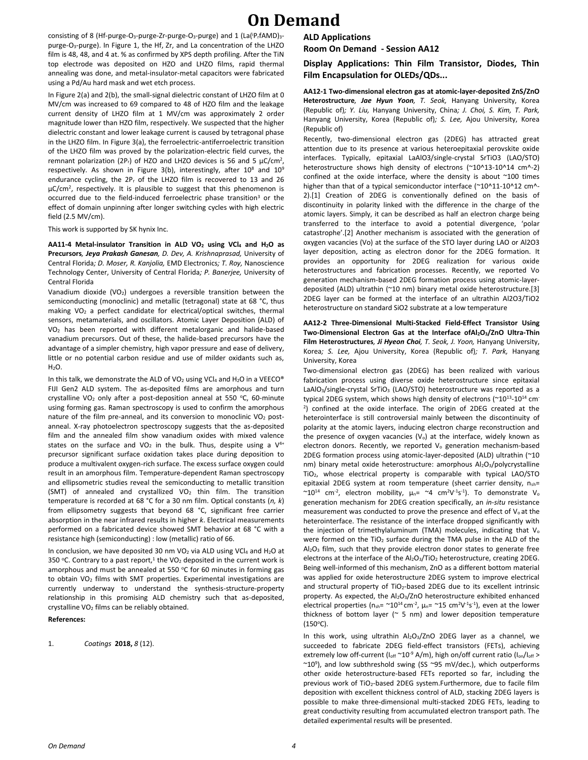consisting of 8 (Hf-purge-O<sub>3</sub>-purge-Zr-purge-O<sub>3</sub>-purge) and 1 (La(<sup>ip</sup><sub>r</sub>fAMD)<sub>3</sub>purge-O3-purge). In Figure 1, the Hf, Zr, and La concentration of the LHZO film is 48, 48, and 4 at. % as confirmed by XPS depth profiling. After the TiN top electrode was deposited on HZO and LHZO films, rapid thermal annealing was done, and metal-insulator-metal capacitors were fabricated using a Pd/Au hard mask and wet etch process.

In Figure 2(a) and 2(b), the small-signal dielectric constant of LHZO film at 0 MV/cm was increased to 69 compared to 48 of HZO film and the leakage current density of LHZO film at 1 MV/cm was approximately 2 order magnitude lower than HZO film, respectively. We suspected that the higher dielectric constant and lower leakage current is caused by tetragonal phase in the LHZO film. In Figure 3(a), the ferroelectric-antiferroelectric transition of the LHZO film was proved by the polarization-electric field curves, the remnant polarization (2P<sub>r</sub>) of HZO and LHZO devices is 56 and 5  $\mu$ C/cm<sup>2</sup>, respectively. As shown in Figure 3(b), interestingly, after  $10^8$  and  $10^9$ endurance cycling, the 2P<sub>r</sub> of the LHZO film is recovered to 13 and 26 μC/cm<sup>2</sup>, respectively. It is plausible to suggest that this phenomenon is occurred due to the field-induced ferroelectric phase transition<sup>3</sup> or the effect of domain unpinning after longer switching cycles with high electric field (2.5 MV/cm).

This work is supported by SK hynix Inc.

**AA11-4 Metal-insulator Transition in ALD VO<sup>2</sup> using VCl<sup>4</sup> and H2O as Precursors***, Jeya Prakash Ganesan, D. Dev, A. Krishnaprasad,* University of Central Florida*; D. Moser, R. Kanjolia,* EMD Electronics*; T. Roy,* Nanoscience Technology Center, University of Central Florida*; P. Banerjee,* University of Central Florida

Vanadium dioxide (VO<sub>2</sub>) undergoes a reversible transition between the semiconducting (monoclinic) and metallic (tetragonal) state at 68 °C, thus making VO<sup>2</sup> a perfect candidate for electrical/optical switches, thermal sensors, metamaterials, and oscillators. Atomic Layer Deposition (ALD) of VO<sup>2</sup> has been reported with different metalorganic and halide-based vanadium precursors. Out of these, the halide-based precursors have the advantage of a simpler chemistry, high vapor pressure and ease of delivery, little or no potential carbon residue and use of milder oxidants such as,  $H_2O$ .

In this talk, we demonstrate the ALD of VO<sub>2</sub> using VCl<sub>4</sub> and H<sub>2</sub>O in a VEECO® FIJI Gen2 ALD system. The as-deposited films are amorphous and turn crystalline VO<sub>2</sub> only after a post-deposition anneal at 550 °C, 60-minute using forming gas. Raman spectroscopy is used to confirm the amorphous nature of the film pre-anneal, and its conversion to monoclinic  $VO<sub>2</sub>$  postanneal. X-ray photoelectron spectroscopy suggests that the as-deposited film and the annealed film show vanadium oxides with mixed valence states on the surface and  $VO<sub>2</sub>$  in the bulk. Thus, despite using a  $V<sup>4+</sup>$ precursor significant surface oxidation takes place during deposition to produce a multivalent oxygen-rich surface. The excess surface oxygen could result in an amorphous film. Temperature-dependent Raman spectroscopy and ellipsometric studies reveal the semiconducting to metallic transition (SMT) of annealed and crystallized  $VO<sub>2</sub>$  thin film. The transition temperature is recorded at 68 °C for a 30 nm film. Optical constants (*n, k*) from ellipsometry suggests that beyond 68 °C, significant free carrier absorption in the near infrared results in higher *k*. Electrical measurements performed on a fabricated device showed SMT behavior at 68 °C with a resistance high (semiconducting) : low (metallic) ratio of 66.

In conclusion, we have deposited 30 nm VO<sub>2</sub> via ALD using VCl<sub>4</sub> and H<sub>2</sub>O at 350 °C. Contrary to a past report,<sup>1</sup> the VO<sub>2</sub> deposited in the current work is amorphous and must be annealed at 550  $°C$  for 60 minutes in forming gas to obtain VO<sub>2</sub> films with SMT properties. Experimental investigations are currently underway to understand the synthesis-structure-property relationship in this promising ALD chemistry such that as-deposited, crystalline  $VO<sub>2</sub>$  films can be reliably obtained.

#### **References:**

1. *Coatings* **2018,** *8* (12).

#### **ALD Applications**

**Room On Demand - Session AA12**

**Display Applications: Thin Film Transistor, Diodes, Thin Film Encapsulation for OLEDs/QDs...**

**AA12-1 Two-dimensional electron gas at atomic-layer-deposited ZnS/ZnO Heterostructure***, Jae Hyun Yoon, T. Seok,* Hanyang University, Korea (Republic of)*; Y. Liu,* Hanyang University, China*; J. Choi, S. Kim, T. Park,*  Hanyang University, Korea (Republic of)*; S. Lee,* Ajou University, Korea (Republic of)

Recently, two-dimensional electron gas (2DEG) has attracted great attention due to its presence at various heteroepitaxial perovskite oxide interfaces. Typically, epitaxial LaAlO3/single-crystal SrTiO3 (LAO/STO) heterostructure shows high density of electrons (~10^13-10^14 cm^-2) confined at the oxide interface, where the density is about ~100 times higher than that of a typical semiconductor interface (~10^11-10^12 cm^-2).[1] Creation of 2DEG is conventionally defined on the basis of discontinuity in polarity linked with the difference in the charge of the atomic layers. Simply, it can be described as half an electron charge being transferred to the interface to avoid a potential divergence, 'polar catastrophe'.[2] Another mechanism is associated with the generation of oxygen vacancies (Vo) at the surface of the STO layer during LAO or Al2O3 layer deposition, acting as electron donor for the 2DEG formation. It provides an opportunity for 2DEG realization for various oxide heterostructures and fabrication processes. Recently, we reported Vo generation mechanism-based 2DEG formation process using atomic-layerdeposited (ALD) ultrathin (~10 nm) binary metal oxide heterostructure.[3] 2DEG layer can be formed at the interface of an ultrathin Al2O3/TiO2 heterostructure on standard SiO2 substrate at a low temperature

**AA12-2 Three-Dimensional Multi-Stacked Field-Effect Transistor Using Two-Dimensional Electron Gas at the Interface ofAl2O3/ZnO Ultra-Thin Film Heterostructures***, Ji Hyeon Choi, T. Seok, J. Yoon,* Hanyang University, Korea*; S. Lee,* Ajou University, Korea (Republic of)*; T. Park,* Hanyang University, Korea

Two-dimensional electron gas (2DEG) has been realized with various fabrication process using diverse oxide heterostructure since epitaxial LaAlO<sub>3</sub>/single-crystal SrTiO<sub>3</sub> (LAO/STO) heterostructure was reported as a typical 2DEG system, which shows high density of electrons (~10<sup>13</sup>-10<sup>14</sup> cm<sup>-</sup> 2 ) confined at the oxide interface. The origin of 2DEG created at the heterointerface is still controversial mainly between the discontinuity of polarity at the atomic layers, inducing electron charge reconstruction and the presence of oxygen vacancies ( $V<sub>o</sub>$ ) at the interface, widely known as electron donors. Recently, we reported V<sub>o</sub> generation mechanism-based 2DEG formation process using atomic-layer-deposited (ALD) ultrathin (~10 nm) binary metal oxide heterostructure: amorphous Al2O3/polycrystalline TiO2, whose electrical property is comparable with typical LAO/STO epitaxial 2DEG system at room temperature (sheet carrier density,  $n_{sh}$ =  $~^{\sim}10^{14}$  cm<sup>-2</sup>, electron mobility,  $\mu$ <sub>n</sub>=  $~^{\sim}4$  cm<sup>2</sup>V<sup>-1</sup>s<sup>-1</sup>). To demonstrate V<sub>°</sub> generation mechanism for 2DEG creation specifically, an *in-situ* resistance measurement was conducted to prove the presence and effect of  $V_0$  at the heterointerface. The resistance of the interface dropped significantly with the injection of trimethylaluminum (TMA) molecules, indicating that  $V_0$ were formed on the TiO<sub>2</sub> surface during the TMA pulse in the ALD of the Al<sub>2</sub>O<sub>3</sub> film, such that they provide electron donor states to generate free electrons at the interface of the Al<sub>2</sub>O<sub>3</sub>/TiO<sub>2</sub> heterostructure, creating 2DEG. Being well-informed of this mechanism, ZnO as a different bottom material was applied for oxide heterostructure 2DEG system to improve electrical and structural property of  $TiO<sub>2</sub>$ -based 2DEG due to its excellent intrinsic property. As expected, the Al<sub>2</sub>O<sub>3</sub>/ZnO heterostructure exhibited enhanced electrical properties ( $n_{sh} = \gamma 10^{14}$  cm<sup>-2</sup>,  $\mu_n = \gamma 15$  cm<sup>2</sup>V<sup>-1</sup>s<sup>-1</sup>), even at the lower thickness of bottom layer ( $\sim$  5 nm) and lower deposition temperature  $(150^{\circ}C).$ 

In this work, using ultrathin  $Al_2O_3/ZnO$  2DEG layer as a channel, we succeeded to fabricate 2DEG field-effect transistors (FETs), achieving extremely low off-current ( $I_{off}$  ~10<sup>-9</sup> A/m), high on/off current ratio ( $I_{on}/I_{off}$  >  $\sim$ 10<sup>9</sup>), and low subthreshold swing (SS  $\sim$ 95 mV/dec.), which outperforms other oxide heterostructure-based FETs reported so far, including the previous work of TiO2-based 2DEG system.Furthermore, due to facile film deposition with excellent thickness control of ALD, stacking 2DEG layers is possible to make three-dimensional multi-stacked 2DEG FETs, leading to great conductivity resulting from accumulated electron transport path. The detailed experimental results will be presented.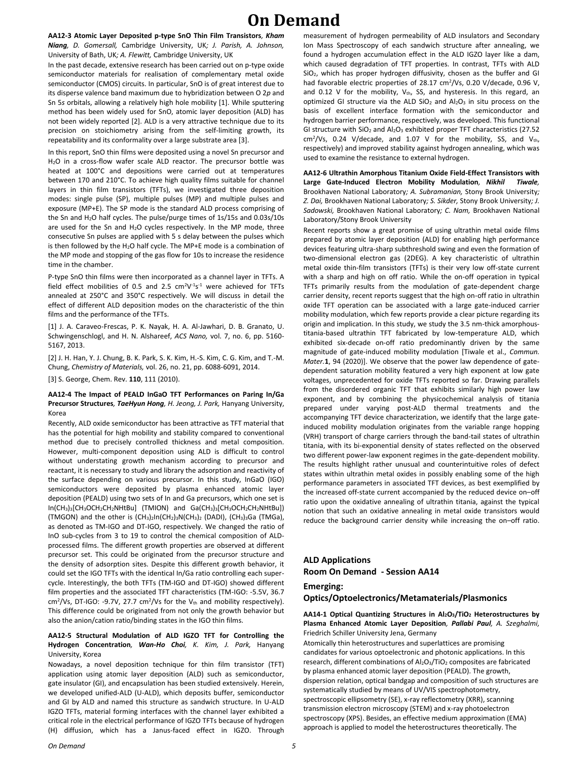**AA12-3 Atomic Layer Deposited p-type SnO Thin Film Transistors***, Kham Niang, D. Gomersall,* Cambridge University, UK*; J. Parish, A. Johnson,*  University of Bath, UK*; A. Flewitt,* Cambridge University, UK

In the past decade, extensive research has been carried out on p-type oxide semiconductor materials for realisation of complementary metal oxide semiconductor (CMOS) circuits. In particular, SnO is of great interest due to its disperse valence band maximum due to hybridization between O 2*p* and Sn 5*s* orbitals, allowing a relatively high hole mobility [1]. While sputtering method has been widely used for SnO, atomic layer deposition (ALD) has not been widely reported [2]. ALD is a very attractive technique due to its precision on stoichiometry arising from the self-limiting growth, its repeatability and its conformality over a large substrate area [3].

In this report, SnO thin films were deposited using a novel Sn precursor and H<sub>2</sub>O in a cross-flow wafer scale ALD reactor. The precursor bottle was heated at 100°C and depositions were carried out at temperatures between 170 and 210°C. To achieve high quality films suitable for channel layers in thin film transistors (TFTs), we investigated three deposition modes: single pulse (SP), multiple pulses (MP) and multiple pulses and exposure (MP+E). The SP mode is the standard ALD process comprising of the Sn and H2O half cycles. The pulse/purge times of 1s/15s and 0.03s/10s are used for the Sn and H<sub>2</sub>O cycles respectively. In the MP mode, three consecutive Sn pulses are applied with 5 s delay between the pulses which is then followed by the H<sub>2</sub>O half cycle. The MP+E mode is a combination of the MP mode and stopping of the gas flow for 10s to increase the residence time in the chamber.

P-type SnO thin films were then incorporated as a channel layer in TFTs. A field effect mobilities of 0.5 and 2.5  $\text{cm}^2\text{V}^{\text{-}1}\text{s}^{\text{-}1}$  were achieved for TFTs annealed at 250°C and 350°C respectively. We will discuss in detail the effect of different ALD deposition modes on the characteristic of the thin films and the performance of the TFTs.

[1] J. A. Caraveo-Frescas, P. K. Nayak, H. A. Al-Jawhari, D. B. Granato, U. Schwingenschlogl, and H. N. Alshareef, *ACS Nano,* vol. 7, no. 6, pp. 5160- 5167, 2013.

[2] J. H. Han, Y. J. Chung, B. K. Park, S. K. Kim, H.-S. Kim, C. G. Kim, and T.-M. Chung, *Chemistry of Materials,* vol. 26, no. 21, pp. 6088-6091, 2014. [3] S. George, Chem. Rev. **110**, 111 (2010).

#### **AA12-4 The Impact of PEALD InGaO TFT Performances on Paring In/Ga Precursor Structures***, TaeHyun Hong, H. Jeong, J. Park,* Hanyang University, Korea

Recently, ALD oxide semiconductor has been attractive as TFT material that has the potential for high mobility and stability compared to conventional method due to precisely controlled thickness and metal composition. However, multi-component deposition using ALD is difficult to control without understating growth mechanism according to precursor and reactant, it is necessary to study and library the adsorption and reactivity of the surface depending on various precursor. In this study, InGaO (IGO) semiconductors were deposited by plasma enhanced atomic layer deposition (PEALD) using two sets of In and Ga precursors, which one set is In(CH3)3[CH3OCH2CH2NHtBu] (TMION) and Ga(CH3)3[CH3OCH2CH2NHtBu]) (TMGON) and the other is  $(CH<sub>3</sub>)<sub>2</sub> In (CH<sub>2</sub>)<sub>3</sub>N(CH<sub>3</sub>)<sub>2</sub> (DADI), (CH<sub>3</sub>)<sub>3</sub>Ga (TMGa),$ as denoted as TM-IGO and DT-IGO, respectively. We changed the ratio of InO sub-cycles from 3 to 19 to control the chemical composition of ALDprocessed films. The different growth properties are observed at different precursor set. This could be originated from the precursor structure and the density of adsorption sites. Despite this different growth behavior, it could set the IGO TFTs with the identical In/Ga ratio controlling each supercycle. Interestingly, the both TFTs (TM-IGO and DT-IGO) showed different film properties and the associated TFT characteristics (TM-IGO: -5.5V, 36.7  $\text{cm}^2\text{/Vs}$ , DT-IGO: -9.7V, 27.7 cm<sup>2</sup>/Vs for the V<sub>th</sub> and mobility respectively). This difference could be originated from not only the growth behavior but also the anion/cation ratio/binding states in the IGO thin films.

#### **AA12-5 Structural Modulation of ALD IGZO TFT for Controlling the Hydrogen Concentration***, Wan-Ho Choi, K. Kim, J. Park,* Hanyang University, Korea

Nowadays, a novel deposition technique for thin film transistor (TFT) application using atomic layer deposition (ALD) such as semiconductor, gate insulator (GI), and encapsulation has been studied extensively. Herein, we developed unified-ALD (U-ALD), which deposits buffer, semiconductor and GI by ALD and named this structure as sandwich structure. In U-ALD IGZO TFTs, material forming interfaces with the channel layer exhibited a critical role in the electrical performance of IGZO TFTs because of hydrogen (H) diffusion, which has a Janus-faced effect in IGZO. Through measurement of hydrogen permeability of ALD insulators and Secondary Ion Mass Spectroscopy of each sandwich structure after annealing, we found a hydrogen accumulation effect in the ALD IGZO layer like a dam, which caused degradation of TFT properties. In contrast, TFTs with ALD SiO2, which has proper hydrogen diffusivity, chosen as the buffer and GI had favorable electric properties of 28.17 cm<sup>2</sup>/Vs, 0.20 V/decade, 0.96 V, and 0.12 V for the mobility,  $V_{th}$ , SS, and hysteresis. In this regard, an optimized GI structure via the ALD  $SiO<sub>2</sub>$  and  $Al<sub>2</sub>O<sub>3</sub>$  in situ process on the basis of excellent interface formation with the semiconductor and hydrogen barrier performance, respectively, was developed. This functional GI structure with  $SiO<sub>2</sub>$  and  $Al<sub>2</sub>O<sub>3</sub>$  exhibited proper TFT characteristics (27.52  $cm<sup>2</sup>/Vs$ , 0.24 V/decade, and 1.07 V for the mobility, SS, and Vth, respectively) and improved stability against hydrogen annealing, which was used to examine the resistance to external hydrogen.

**AA12-6 Ultrathin Amorphous Titanium Oxide Field-Effect Transistors with Large Gate-Induced Electron Mobility Modulation***, Nikhil Tiwale,*  Brookhaven National Laboratory*; A. Subramanian,* Stony Brook University*; Z. Dai,* Brookhaven National Laboratory*; S. Sikder,* Stony Brook University*; J. Sadowski,* Brookhaven National Laboratory*; C. Nam,* Brookhaven National Laboratory/Stony Brook University

Recent reports show a great promise of using ultrathin metal oxide films prepared by atomic layer deposition (ALD) for enabling high performance devices featuring ultra-sharp subthreshold swing and even the formation of two-dimensional electron gas (2DEG). A key characteristic of ultrathin metal oxide thin-film transistors (TFTs) is their very low off-state current with a sharp and high on off ratio. While the on-off operation in typical TFTs primarily results from the modulation of gate-dependent charge carrier density, recent reports suggest that the high on-off ratio in ultrathin oxide TFT operation can be associated with a large gate-induced carrier mobility modulation, which few reports provide a clear picture regarding its origin and implication. In this study, we study the 3.5 nm-thick amorphoustitania-based ultrathin TFT fabricated by low-temperature ALD, which exhibited six-decade on-off ratio predominantly driven by the same magnitude of gate-induced mobility modulation [Tiwale et al., *Commun. Mater.***1**, 94 (2020)]. We observe that the power law dependence of gatedependent saturation mobility featured a very high exponent at low gate voltages, unprecedented for oxide TFTs reported so far. Drawing parallels from the disordered organic TFT that exhibits similarly high power law exponent, and by combining the physicochemical analysis of titania prepared under varying post-ALD thermal treatments and the accompanying TFT device characterization, we identify that the large gateinduced mobility modulation originates from the variable range hopping (VRH) transport of charge carriers through the band-tail states of ultrathin titania, with its bi-exponential density of states reflected on the observed two different power-law exponent regimes in the gate-dependent mobility. The results highlight rather unusual and counterintuitive roles of defect states within ultrathin metal oxides in possibly enabling some of the high performance parameters in associated TFT devices, as best exemplified by the increased off-state current accompanied by the reduced device on–off ratio upon the oxidative annealing of ultrathin titania, against the typical notion that such an oxidative annealing in metal oxide transistors would reduce the background carrier density while increasing the on–off ratio.

### **ALD Applications Room On Demand - Session AA14**

#### **Emerging:**

**Optics/Optoelectronics/Metamaterials/Plasmonics**

#### **AA14-1 Optical Quantizing Structures in Al2O3/TiO<sup>2</sup> Heterostructures by Plasma Enhanced Atomic Layer Deposition***, Pallabi Paul, A. Szeghalmi,*  Friedrich Schiller University Jena, Germany

Atomically thin heterostructures and superlattices are promising candidates for various optoelectronic and photonic applications. In this research, different combinations of  $Al_2O_3/TiO_2$  composites are fabricated by plasma enhanced atomic layer deposition (PEALD). The growth, dispersion relation, optical bandgap and composition of such structures are systematically studied by means of UV/VIS spectrophotometry, spectroscopic ellipsometry (SE), x-ray reflectometry (XRR), scanning transmission electron microscopy (STEM) and x-ray photoelectron spectroscopy (XPS). Besides, an effective medium approximation (EMA) approach is applied to model the heterostructures theoretically. The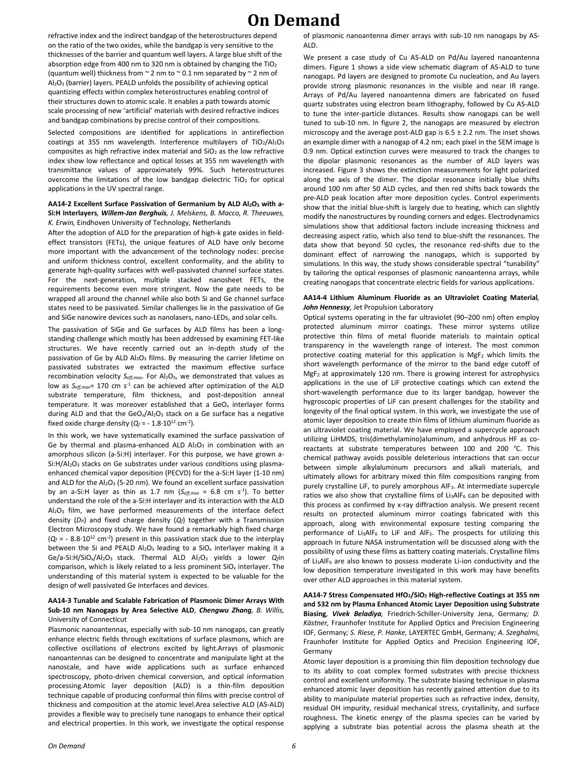refractive index and the indirect bandgap of the heterostructures depend on the ratio of the two oxides, while the bandgap is very sensitive to the thicknesses of the barrier and quantum well layers. A large blue shift of the absorption edge from 400 nm to 320 nm is obtained by changing the  $TiO<sub>2</sub>$ (quantum well) thickness from  $\sim$  2 nm to  $\sim$  0.1 nm separated by  $\sim$  2 nm of Al2O<sup>3</sup> (barrier) layers. PEALD unfolds the possibility of achieving optical quantizing effects within complex heterostructures enabling control of their structures down to atomic scale. It enables a path towards atomic scale processing of new 'artificial' materials with desired refractive indices and bandgap combinations by precise control of their compositions.

Selected compositions are identified for applications in antireflection coatings at 355 nm wavelength. Interference multilayers of  $TiO<sub>2</sub>/Al<sub>2</sub>O<sub>3</sub>$ composites as high refractive index material and  $SiO<sub>2</sub>$  as the low refractive index show low reflectance and optical losses at 355 nm wavelength with transmittance values of approximately 99%. Such heterostructures overcome the limitations of the low bandgap dielectric  $TiO<sub>2</sub>$  for optical applications in the UV spectral range.

**AA14-2 Excellent Surface Passivation of Germanium by ALD Al2O<sup>3</sup> with a-Si:H Interlayers***, Willem-Jan Berghuis, J. Melskens, B. Macco, R. Theeuwes, K. Erwin,* Eindhoven University of Technology, Netherlands

After the adoption of ALD for the preparation of high-k gate oxides in fieldeffect transistors (FETs), the unique features of ALD have only become more important with the advancement of the technology nodes: precise and uniform thickness control, excellent conformality, and the ability to generate high-quality surfaces with well-passivated channel surface states. For the next-generation, multiple stacked nanosheet FETs, the requirements become even more stringent. Now the gate needs to be wrapped all around the channel while also both Si and Ge channel surface states need to be passivated. Similar challenges lie in the passivation of Ge and SiGe nanowire devices such as nanolasers, nano-LEDs, and solar cells.

The passivation of SiGe and Ge surfaces by ALD films has been a longstanding challenge which mostly has been addressed by examining FET-like structures. We have recently carried out an in-depth study of the passivation of Ge by ALD Al<sub>2</sub>O<sub>3</sub> films. By measuring the carrier lifetime on passivated substrates we extracted the maximum effective surface recombination velocity *Seff,max*. For Al<sub>2</sub>O<sub>3</sub>, we demonstrated that values as low as  $S_{\text{eff},\text{max}}$  170 cm s<sup>-1</sup> can be achieved after optimization of the ALD substrate temperature, film thickness, and post-deposition anneal temperature. It was moreover established that a GeO<sub>x</sub> interlayer forms during ALD and that the  $\text{GeO}_x/\text{Al}_2\text{O}_3$  stack on a Ge surface has a negative fixed oxide charge density ( $Q_f$  =  $-1.8 \cdot 10^{12}$  cm<sup>-2</sup>).

In this work, we have systematically examined the surface passivation of Ge by thermal and plasma-enhanced ALD  $Al_2O_3$  in combination with an amorphous silicon (a-Si:H) interlayer. For this purpose, we have grown a-Si:H/Al<sub>2</sub>O<sub>3</sub> stacks on Ge substrates under various conditions using plasmaenhanced chemical vapor deposition (PECVD) for the a-Si:H layer (1-10 nm) and ALD for the  $Al_2O_3$  (5-20 nm). We found an excellent surface passivation by an a-Si:H layer as thin as 1.7 nm  $(S_{eff,max} = 6.8 \text{ cm s}^{-1})$ . To better understand the role of the a-Si:H interlayer and its interaction with the ALD Al2O<sup>3</sup> film, we have performed measurements of the interface defect density  $(D<sub>i</sub>)$  and fixed charge density  $(Q<sub>i</sub>)$  together with a Transmission Electron Microscopy study. We have found a remarkably high fixed charge (*Q<sub>f</sub>* = - 8.8⋅10<sup>12</sup> cm<sup>-2</sup>) present in this passivation stack due to the interplay between the Si and PEALD  $Al_2O_3$  leading to a SiO<sub>x</sub> interlayer making it a Ge/a-Si:H/SiOx/Al2O3 stack. Thermal ALD Al2O<sup>3</sup> yields a lower *Qf*in comparison, which is likely related to a less prominent  $SiO<sub>x</sub>$  interlayer. The understanding of this material system is expected to be valuable for the design of well passivated Ge interfaces and devices.

#### **AA14-3 Tunable and Scalable Fabrication of Plasmonic Dimer Arrays With Sub-10 nm Nanogaps by Area Selective ALD***, Chengwu Zhang, B. Willis,*  University of Connecticut

Plasmonic nanoantennas, especially with sub-10 nm nanogaps, can greatly enhance electric fields through excitations of surface plasmons, which are collective oscillations of electrons excited by light.Arrays of plasmonic nanoantennas can be designed to concentrate and manipulate light at the nanoscale, and have wide applications such as surface enhanced spectroscopy, photo-driven chemical conversion, and optical information processing.Atomic layer deposition (ALD) is a thin-film deposition technique capable of producing conformal thin films with precise control of thickness and composition at the atomic level.Area selective ALD (AS-ALD) provides a flexible way to precisely tune nanogaps to enhance their optical and electrical properties. In this work, we investigate the optical response

of plasmonic nanoantenna dimer arrays with sub-10 nm nanogaps by AS-ALD.

We present a case study of Cu AS-ALD on Pd/Au layered nanoantenna dimers. Figure 1 shows a side view schematic diagram of AS-ALD to tune nanogaps. Pd layers are designed to promote Cu nucleation, and Au layers provide strong plasmonic resonances in the visible and near IR range. Arrays of Pd/Au layered nanoantenna dimers are fabricated on fused quartz substrates using electron beam lithography, followed by Cu AS-ALD to tune the inter-particle distances. Results show nanogaps can be well tuned to sub-10 nm. In figure 2, the nanogaps are measured by electron microscopy and the average post-ALD gap is  $6.5 \pm 2.2$  nm. The inset shows an example dimer with a nanogap of 4.2 nm; each pixel in the SEM image is 0.9 nm. Optical extinction curves were measured to track the changes to the dipolar plasmonic resonances as the number of ALD layers was increased. Figure 3 shows the extinction measurements for light polarized along the axis of the dimer. The dipolar resonance initially blue shifts around 100 nm after 50 ALD cycles, and then red shifts back towards the pre-ALD peak location after more deposition cycles. Control experiments show that the initial blue-shift is largely due to heating, which can slightly modify the nanostructures by rounding corners and edges. Electrodynamics simulations show that additional factors include increasing thickness and decreasing aspect ratio, which also tend to blue-shift the resonances. The data show that beyond 50 cycles, the resonance red-shifts due to the dominant effect of narrowing the nanogaps, which is supported by simulations. In this way, the study shows considerable spectral "tunability" by tailoring the optical responses of plasmonic nanoantenna arrays, while creating nanogaps that concentrate electric fields for various applications.

#### **AA14-4 Lithium Aluminum Fluoride as an Ultraviolet Coating Material***, John Hennessy,* Jet Propulsion Laboratory

Optical systems operating in the far ultraviolet (90–200 nm) often employ protected aluminum mirror coatings. These mirror systems utilize protective thin films of metal fluoride materials to maintain optical transparency in the wavelength range of interest. The most common protective coating material for this application is MgF<sub>2</sub> which limits the short wavelength performance of the mirror to the band edge cutoff of MgF<sup>2</sup> at approximately 120 nm. There is growing interest for astrophysics applications in the use of LiF protective coatings which can extend the short-wavelength performance due to its larger bandgap, however the hygroscopic properties of LiF can present challenges for the stability and longevity of the final optical system. In this work, we investigate the use of atomic layer deposition to create thin films of lithium aluminum fluoride as an ultraviolet coating material. We have employed a supercycle approach utilizing LiHMDS, tris(dimethylamino)aluminum, and anhydrous HF as coreactants at substrate temperatures between 100 and 200 °C. This chemical pathway avoids possible deleterious interactions that can occur between simple alkylaluminum precursors and alkali materials, and ultimately allows for arbitrary mixed thin film compositions ranging from purely crystalline LiF, to purely amorphous AlF3. At intermediate supercyle ratios we also show that crystalline films of Li<sub>3</sub>AlF<sub>6</sub> can be deposited with this process as confirmed by x-ray diffraction analysis. We present recent results on protected aluminum mirror coatings fabricated with this approach, along with environmental exposure testing comparing the performance of Li<sub>3</sub>AlF<sub>6</sub> to LiF and AlF<sub>3</sub>. The prospects for utilizing this approach in future NASA instrumentation will be discussed along with the possibility of using these films as battery coating materials. Crystalline films of Li<sub>3</sub>AlF<sub>6</sub> are also known to possess moderate Li-ion conductivity and the low deposition temperature investigated in this work may have benefits over other ALD approaches in this material system.

**AA14-7 Stress Compensated HfO2/SiO<sup>2</sup> High-reflective Coatings at 355 nm and 532 nm by Plasma Enhanced Atomic Layer Deposition using Substrate Biasing***, Vivek Beladiya,* Friedrich-Schiller-University Jena, Germany*; D. Kästner,* Fraunhofer Institute for Applied Optics and Precision Engineering IOF, Germany*; S. Riese, P. Hanke,* LAYERTEC GmbH, Germany*; A. Szeghalmi,*  Fraunhofer Institute for Applied Optics and Precision Engineering IOF, Germany

Atomic layer deposition is a promising thin film deposition technology due to its ability to coat complex formed substrates with precise thickness control and excellent uniformity. The substrate biasing technique in plasma enhanced atomic layer deposition has recently gained attention due to its ability to manipulate material properties such as refractive index, density, residual OH impurity, residual mechanical stress, crystallinity, and surface roughness. The kinetic energy of the plasma species can be varied by applying a substrate bias potential across the plasma sheath at the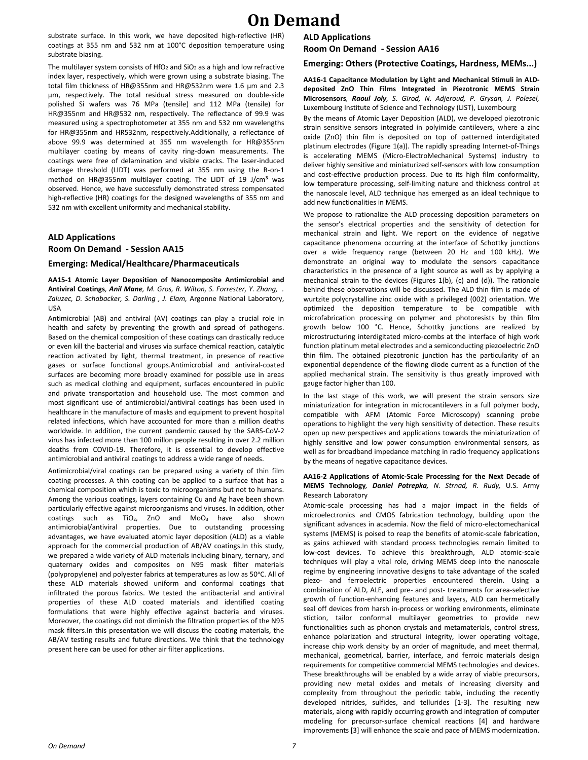substrate surface. In this work, we have deposited high-reflective (HR) coatings at 355 nm and 532 nm at 100°C deposition temperature using substrate biasing.

The multilayer system consists of  $HfO<sub>2</sub>$  and  $SiO<sub>2</sub>$  as a high and low refractive index layer, respectively, which were grown using a substrate biasing. The total film thickness of HR@355nm and HR@532nm were 1.6 μm and 2.3 μm, respectively. The total residual stress measured on double-side polished Si wafers was 76 MPa (tensile) and 112 MPa (tensile) for HR@355nm and HR@532 nm, respectively. The reflectance of 99.9 was measured using a spectrophotometer at 355 nm and 532 nm wavelengths for HR@355nm and HR532nm, respectively.Additionally, a reflectance of above 99.9 was determined at 355 nm wavelength for HR@355nm multilayer coating by means of cavity ring-down measurements. The coatings were free of delamination and visible cracks. The laser-induced damage threshold (LIDT) was performed at 355 nm using the R-on-1 method on HR@355nm multilayer coating. The LIDT of 19 J/cm<sup>3</sup> was observed. Hence, we have successfully demonstrated stress compensated high-reflective (HR) coatings for the designed wavelengths of 355 nm and 532 nm with excellent uniformity and mechanical stability.

### **ALD Applications Room On Demand - Session AA15**

#### **Emerging: Medical/Healthcare/Pharmaceuticals**

**AA15-1 Atomic Layer Deposition of Nanocomposite Antimicrobial and Antiviral Coatings***, Anil Mane, M. Gros, R. Wilton, S. Forrester, Y. Zhang, . Zaluzec, D. Schabacker, S. Darling , J. Elam,* Argonne National Laboratory, USA

Antimicrobial (AB) and antiviral (AV) coatings can play a crucial role in health and safety by preventing the growth and spread of pathogens. Based on the chemical composition of these coatings can drastically reduce or even kill the bacterial and viruses via surface chemical reaction, catalytic reaction activated by light, thermal treatment, in presence of reactive gases or surface functional groups.Antimicrobial and antiviral-coated surfaces are becoming more broadly examined for possible use in areas such as medical clothing and equipment, surfaces encountered in public and private transportation and household use. The most common and most significant use of antimicrobial/antiviral coatings has been used in healthcare in the manufacture of masks and equipment to prevent hospital related infections, which have accounted for more than a million deaths worldwide. In addition, the current pandemic caused by the SARS-CoV-2 virus has infected more than 100 millon people resulting in over 2.2 million deaths from COVID-19. Therefore, it is essential to develop effective antimicrobial and antiviral coatings to address a wide range of needs.

Antimicrobial/viral coatings can be prepared using a variety of thin film coating processes. A thin coating can be applied to a surface that has a chemical composition which is toxic to microorganisms but not to humans. Among the various coatings, layers containing Cu and Ag have been shown particularly effective against microorganisms and viruses. In addition, other coatings such as TiO<sub>2</sub>, ZnO and MoO<sub>3</sub> have also shown antimicrobial/antiviral properties. Due to outstanding processing advantages, we have evaluated atomic layer deposition (ALD) as a viable approach for the commercial production of AB/AV coatings.In this study, we prepared a wide variety of ALD materials including binary, ternary, and quaternary oxides and composites on N95 mask filter materials (polypropylene) and polyester fabrics at temperatures as low as 50°C. All of these ALD materials showed uniform and conformal coatings that infiltrated the porous fabrics. We tested the antibacterial and antiviral properties of these ALD coated materials and identified coating formulations that were highly effective against bacteria and viruses. Moreover, the coatings did not diminish the filtration properties of the N95 mask filters.In this presentation we will discuss the coating materials, the AB/AV testing results and future directions. We think that the technology present here can be used for other air filter applications.

#### **ALD Applications**

**Room On Demand - Session AA16**

**Emerging: Others (Protective Coatings, Hardness, MEMs...)**

**AA16-1 Capacitance Modulation by Light and Mechanical Stimuli in ALDdeposited ZnO Thin Films Integrated in Piezotronic MEMS Strain Microsensors***, Raoul Joly, S. Girod, N. Adjeroud, P. Grysan, J. Polesel,*  Luxembourg Institute of Science and Technology (LIST), Luxembourg

By the means of Atomic Layer Deposition (ALD), we developed piezotronic strain sensitive sensors integrated in polyimide cantilevers, where a zinc oxide (ZnO) thin film is deposited on top of patterned interdigitated platinum electrodes (Figure 1(a)). The rapidly spreading Internet-of-Things is accelerating MEMS (Micro-ElectroMechanical Systems) industry to deliver highly sensitive and miniaturized self-sensors with low consumption and cost-effective production process. Due to its high film conformality, low temperature processing, self-limiting nature and thickness control at the nanoscale level, ALD technique has emerged as an ideal technique to add new functionalities in MEMS.

We propose to rationalize the ALD processing deposition parameters on the sensor's electrical properties and the sensitivity of detection for mechanical strain and light. We report on the evidence of negative capacitance phenomena occurring at the interface of Schottky junctions over a wide frequency range (between 20 Hz and 100 kHz). We demonstrate an original way to modulate the sensors capacitance characteristics in the presence of a light source as well as by applying a mechanical strain to the devices (Figures 1(b), (c) and (d)). The rationale behind these observations will be discussed. The ALD thin film is made of wurtzite polycrystalline zinc oxide with a privileged (002) orientation. We optimized the deposition temperature to be compatible with microfabrication processing on polymer and photoresists by thin film growth below 100 °C. Hence, Schottky junctions are realized by microstructuring interdigitated micro-combs at the interface of high work function platinum metal electrodes and a semiconducting piezoelectric ZnO thin film. The obtained piezotronic junction has the particularity of an exponential dependence of the flowing diode current as a function of the applied mechanical strain. The sensitivity is thus greatly improved with gauge factor higher than 100.

In the last stage of this work, we will present the strain sensors size miniaturization for integration in microcantilevers in a full polymer body, compatible with AFM (Atomic Force Microscopy) scanning probe operations to highlight the very high sensitivity of detection. These results open up new perspectives and applications towards the miniaturization of highly sensitive and low power consumption environmental sensors, as well as for broadband impedance matching in radio frequency applications by the means of negative capacitance devices.

#### **AA16-2 Applications of Atomic-Scale Processing for the Next Decade of MEMS Technology***, Daniel Potrepka, N. Strnad, R. Rudy,* U.S. Army Research Laboratory

Atomic-scale processing has had a major impact in the fields of microelectronics and CMOS fabrication technology, building upon the significant advances in academia. Now the field of micro-electomechanical systems (MEMS) is poised to reap the benefits of atomic-scale fabrication, as gains achieved with standard process technologies remain limited to low-cost devices. To achieve this breakthrough, ALD atomic-scale techniques will play a vital role, driving MEMS deep into the nanoscale regime by engineering innovative designs to take advantage of the scaled piezo- and ferroelectric properties encountered therein. Using a combination of ALD, ALE, and pre- and post- treatments for area-selective growth of function-enhancing features and layers, ALD can hermetically seal off devices from harsh in-process or working environments, eliminate stiction, tailor conformal multilayer geometries to provide new functionalities such as phonon crystals and metamaterials, control stress, enhance polarization and structural integrity, lower operating voltage, increase chip work density by an order of magnitude, and meet thermal, mechanical, geometrical, barrier, interface, and ferroic materials design requirements for competitive commercial MEMS technologies and devices. These breakthroughs will be enabled by a wide array of viable precursors, providing new metal oxides and metals of increasing diversity and complexity from throughout the periodic table, including the recently developed nitrides, sulfides, and tellurides [1-3]. The resulting new materials, along with rapidly occurring growth and integration of computer modeling for precursor-surface chemical reactions [4] and hardware improvements [3] will enhance the scale and pace of MEMS modernization.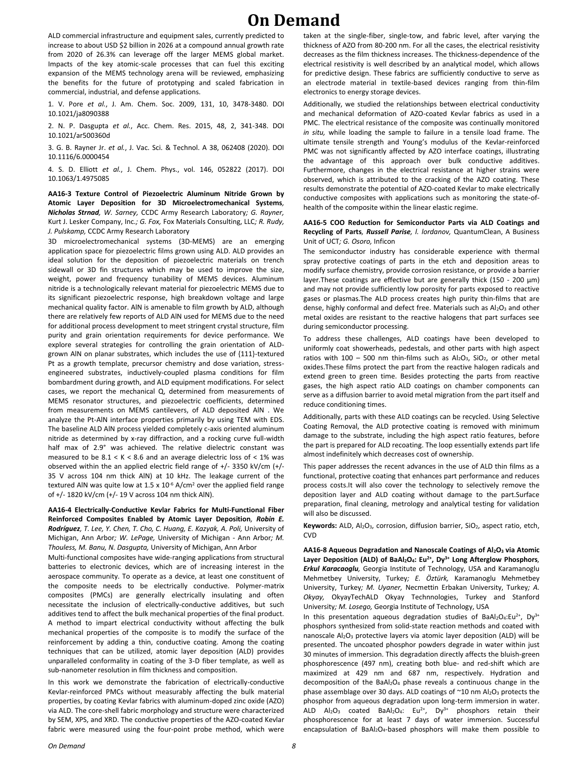ALD commercial infrastructure and equipment sales, currently predicted to increase to about USD \$2 billion in 2026 at a compound annual growth rate from 2020 of 26.3% can leverage off the larger MEMS global market. Impacts of the key atomic-scale processes that can fuel this exciting expansion of the MEMS technology arena will be reviewed, emphasizing the benefits for the future of prototyping and scaled fabrication in commercial, industrial, and defense applications.

1. V. Pore *et al.*, J. Am. Chem. Soc. 2009, 131, 10, 3478-3480. DOI 10.1021/ja8090388

2. N. P. Dasgupta *et al.*, Acc. Chem. Res. 2015, 48, 2, 341-348. DOI 10.1021/ar500360d

3. G. B. Rayner Jr. *et al.*, J. Vac. Sci. & Technol. A 38, 062408 (2020). DOI 10.1116/6.0000454

4. S. D. Elliott *et al.*, J. Chem. Phys., vol. 146, 052822 (2017). DOI 10.1063/1.4975085

**AA16-3 Texture Control of Piezoelectric Aluminum Nitride Grown by Atomic Layer Deposition for 3D Microelectromechanical Systems***, Nicholas Strnad, W. Sarney,* CCDC Army Research Laboratory*; G. Rayner,*  Kurt J. Lesker Company, Inc.*; G. Fox,* Fox Materials Consulting, LLC*; R. Rudy, J. Pulskamp,* CCDC Army Research Laboratory

3D microelectromechanical systems (3D-MEMS) are an emerging application space for piezoelectric films grown using ALD. ALD provides an ideal solution for the deposition of piezoelectric materials on trench sidewall or 3D fin structures which may be used to improve the size, weight, power and frequency tunability of MEMS devices. Aluminum nitride is a technologically relevant material for piezoelectric MEMS due to its significant piezoelectric response, high breakdown voltage and large mechanical quality factor. AlN is amenable to film growth by ALD, although there are relatively few reports of ALD AlN used for MEMS due to the need for additional process development to meet stringent crystal structure, film purity and grain orientation requirements for device performance. We explore several strategies for controlling the grain orientation of ALDgrown AlN on planar substrates, which includes the use of {111}-textured Pt as a growth template, precursor chemistry and dose variation, stressengineered substrates, inductively-coupled plasma conditions for film bombardment during growth, and ALD equipment modifications. For select cases, we report the mechanical Q, determined from measurements of MEMS resonator structures, and piezoelectric coefficients, determined from measurements on MEMS cantilevers, of ALD deposited AlN . We analyze the Pt-AlN interface properties primarily by using TEM with EDS. The baseline ALD AlN process yielded completely c-axis oriented aluminum nitride as determined by x-ray diffraction, and a rocking curve full-width half max of 2.9° was achieved. The relative dielectric constant was measured to be  $8.1 < K < 8.6$  and an average dielectric loss of  $< 1\%$  was observed within the an applied electric field range of +/- 3350 kV/cm (+/- 35 V across 104 nm thick AlN) at 10 kHz. The leakage current of the textured AIN was quite low at 1.5 x  $10^{-6}$  A/cm<sup>2</sup> over the applied field range of +/- 1820 kV/cm (+/- 19 V across 104 nm thick AlN).

**AA16-4 Electrically-Conductive Kevlar Fabrics for Multi-Functional Fiber Reinforced Composites Enabled by Atomic Layer Deposition***, Robin E. Rodríguez, T. Lee, Y. Chen, T. Cho, C. Huang, E. Kazyak, A. Poli,* University of Michigan, Ann Arbor*; W. LePage,* University of Michigan - Ann Arbor*; M. Thouless, M. Banu, N. Dasgupta,* University of Michigan, Ann Arbor

Multi-functional composites have wide-ranging applications from structural batteries to electronic devices, which are of increasing interest in the aerospace community. To operate as a device, at least one constituent of the composite needs to be electrically conductive. Polymer-matrix composites (PMCs) are generally electrically insulating and often necessitate the inclusion of electrically-conductive additives, but such additives tend to affect the bulk mechanical properties of the final product. A method to impart electrical conductivity without affecting the bulk mechanical properties of the composite is to modify the surface of the reinforcement by adding a thin, conductive coating. Among the coating techniques that can be utilized, atomic layer deposition (ALD) provides unparalleled conformality in coating of the 3-D fiber template, as well as sub-nanometer resolution in film thickness and composition.

In this work we demonstrate the fabrication of electrically-conductive Kevlar-reinforced PMCs without measurably affecting the bulk material properties, by coating Kevlar fabrics with aluminum-doped zinc oxide (AZO) via ALD. The core-shell fabric morphology and structure were characterized by SEM, XPS, and XRD. The conductive properties of the AZO-coated Kevlar fabric were measured using the four-point probe method, which were taken at the single-fiber, single-tow, and fabric level, after varying the thickness of AZO from 80-200 nm. For all the cases, the electrical resistivity decreases as the film thickness increases. The thickness-dependence of the electrical resistivity is well described by an analytical model, which allows for predictive design. These fabrics are sufficiently conductive to serve as an electrode material in textile-based devices ranging from thin-film electronics to energy storage devices.

Additionally, we studied the relationships between electrical conductivity and mechanical deformation of AZO-coated Kevlar fabrics as used in a PMC. The electrical resistance of the composite was continually monitored *in situ,* while loading the sample to failure in a tensile load frame. The ultimate tensile strength and Young's modulus of the Kevlar-reinforced PMC was not significantly affected by AZO interface coatings, illustrating the advantage of this approach over bulk conductive additives. Furthermore, changes in the electrical resistance at higher strains were observed, which is attributed to the cracking of the AZO coating. These results demonstrate the potential of AZO-coated Kevlar to make electrically conductive composites with applications such as monitoring the state-ofhealth of the composite within the linear elastic regime.

#### **AA16-5 COO Reduction for Semiconductor Parts via ALD Coatings and Recycling of Parts***, Russell Parise, l. lordanov,* QuantumClean, A Business Unit of UCT*; G. Osoro,* Inficon

The semiconductor industry has considerable experience with thermal spray protective coatings of parts in the etch and deposition areas to modify surface chemistry, provide corrosion resistance, or provide a barrier layer.These coatings are effective but are generally thick (150 - 200 μm) and may not provide sufficiently low porosity for parts exposed to reactive gases or plasmas.The ALD process creates high purity thin-films that are dense, highly conformal and defect free. Materials such as Al2O3 and other metal oxides are resistant to the reactive halogens that part surfaces see during semiconductor processing.

To address these challenges, ALD coatings have been developed to uniformly coat showerheads, pedestals, and other parts with high aspect ratios with 100 – 500 nm thin-films such as  $Al_2O_3$ ,  $SiO_2$ , or other metal oxides.These films protect the part from the reactive halogen radicals and extend green to green time. Besides protecting the parts from reactive gases, the high aspect ratio ALD coatings on chamber components can serve as a diffusion barrier to avoid metal migration from the part itself and reduce conditioning times.

Additionally, parts with these ALD coatings can be recycled. Using Selective Coating Removal, the ALD protective coating is removed with minimum damage to the substrate, including the high aspect ratio features, before the part is prepared for ALD recoating. The loop essentially extends part life almost indefinitely which decreases cost of ownership.

This paper addresses the recent advances in the use of ALD thin films as a functional, protective coating that enhances part performance and reduces process costs.It will also cover the technology to selectively remove the deposition layer and ALD coating without damage to the part.Surface preparation, final cleaning, metrology and analytical testing for validation will also be discussed.

Keywords: ALD, Al<sub>2</sub>O<sub>3</sub>, corrosion, diffusion barrier, SiO<sub>2</sub>, aspect ratio, etch, CVD

**AA16-8 Aqueous Degradation and Nanoscale Coatings of Al2O<sup>3</sup> via Atomic Layer Deposition (ALD) of BaAl2O4: Eu2+, Dy3+ Long Afterglow Phosphors***, Erkul Karacaoglu,* Georgia Institute of Technology, USA and Karamanoglu Mehmetbey University, Turkey*; E. Öztürk,* Karamanoglu Mehmetbey University, Turkey*; M. Uyaner,* Necmettin Erbakan University, Turkey*; A. Okyay,* OkyayTechALD Okyay Technnologies, Turkey and Stanford University*; M. Losego,* Georgia Institute of Technology, USA

In this presentation aqueous degradation studies of BaAl<sub>2</sub>O<sub>4</sub>:Eu<sup>2+</sup>, Dy<sup>3+</sup> phosphors synthesized from solid-state reaction methods and coated with nanoscale Al<sub>2</sub>O<sub>3</sub> protective layers via atomic layer deposition (ALD) will be presented. The uncoated phosphor powders degrade in water within just 30 minutes of immersion. This degradation directly affects the bluish-green phosphorescence (497 nm), creating both blue- and red-shift which are maximized at 429 nm and 687 nm, respectively. Hydration and decomposition of the BaAl<sub>2</sub>O<sub>4</sub> phase reveals a continuous change in the phase assemblage over 30 days. ALD coatings of  $\simeq$  10 nm Al<sub>2</sub>O<sub>3</sub> protects the phosphor from aqueous degradation upon long-term immersion in water. ALD  $Al_2O_3$  coated BaAl<sub>2</sub>O<sub>4</sub>: Eu<sup>2+</sup>, Dy<sup>3+</sup> phosphors retain their phosphorescence for at least 7 days of water immersion. Successful encapsulation of BaAl2O4-based phosphors will make them possible to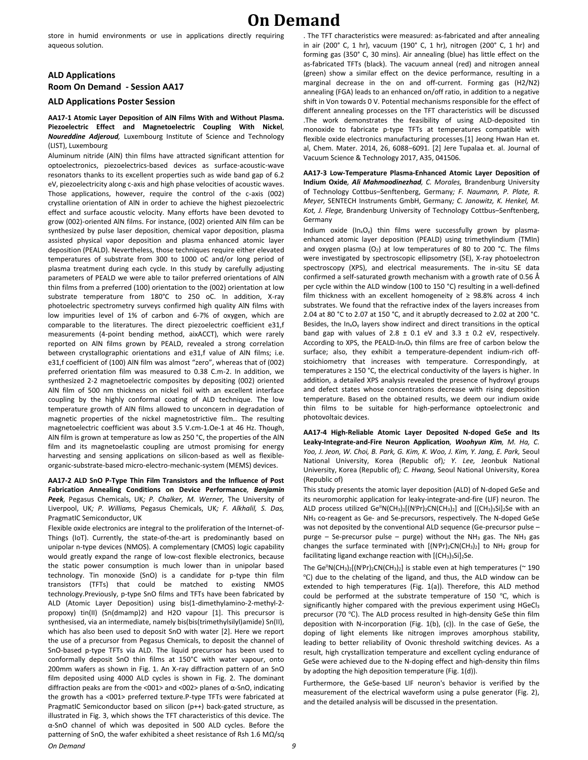store in humid environments or use in applications directly requiring aqueous solution.

### **ALD Applications Room On Demand - Session AA17**

#### **ALD Applications Poster Session**

#### **AA17-1 Atomic Layer Deposition of AlN Films With and Without Plasma. Piezoelectric Effect and Magnetoelectric Coupling With Nickel***, Noureddine Adjeroud,* Luxembourg Institute of Science and Technology (LIST), Luxembourg

Aluminum nitride (AlN) thin films have attracted significant attention for optoelectronics, piezoelectrics-based devices as surface-acoustic-wave resonators thanks to its excellent properties such as wide band gap of 6.2 eV, piezoelectricity along c-axis and high phase velocities of acoustic waves. Those applications, however, require the control of the c-axis (002) crystalline orientation of AlN in order to achieve the highest piezoelectric effect and surface acoustic velocity. Many efforts have been devoted to grow (002)-oriented AlN films. For instance, (002) oriented AlN film can be synthesized by pulse laser deposition, chemical vapor deposition, plasma assisted physical vapor deposition and plasma enhanced atomic layer deposition (PEALD). Nevertheless, those techniques require either elevated temperatures of substrate from 300 to 1000 oC and/or long period of plasma treatment during each cycle. In this study by carefully adjusting parameters of PEALD we were able to tailor preferred orientations of AlN thin films from a preferred (100) orientation to the (002) orientation at low substrate temperature from 180°C to 250 oC. In addition, X-ray photoelectric spectrometry surveys confirmed high quality AlN films with low impurities level of 1% of carbon and 6-7% of oxygen, which are comparable to the literatures. The direct piezoelectric coefficient e31,f measurements (4-point bending method, aixACCT), which were rarely reported on AlN films grown by PEALD, revealed a strong correlation between crystallographic orientations and e31,f value of AlN films; i.e. e31,f coefficient of (100) AlN film was almost "zero", whereas that of (002) preferred orientation film was measured to 0.38 C.m-2. In addition, we synthesized 2-2 magnetoelectric composites by depositing (002) oriented AlN film of 500 nm thickness on nickel foil with an excellent interface coupling by the highly conformal coating of ALD technique. The low temperature growth of AlN films allowed to unconcern in degradation of magnetic properties of the nickel magnetostrictive film.. The resulting magnetoelectric coefficient was about 3.5 V.cm-1.Oe-1 at 46 Hz. Though, AlN film is grown at temperature as low as 250 °C, the properties of the AlN film and its magnetoelastic coupling are utmost promising for energy harvesting and sensing applications on silicon-based as well as flexibleorganic-substrate-based micro-electro-mechanic-system (MEMS) devices.

#### **AA17-2 ALD SnO P-Type Thin Film Transistors and the Influence of Post Fabrication Annealing Conditions on Device Performance***, Benjamin Peek,* Pegasus Chemicals, UK*; P. Chalker, M. Werner,* The University of Liverpool, UK*; P. Williams,* Pegasus Chemicals, UK*; F. Alkhalil, S. Das,*  PragmatIC Semiconductor, UK

*On Demand 9* Flexible oxide electronics are integral to the proliferation of the Internet-of-Things (IoT). Currently, the state-of-the-art is predominantly based on unipolar n-type devices (NMOS). A complementary (CMOS) logic capability would greatly expand the range of low-cost flexible electronics, because the static power consumption is much lower than in unipolar based technology. Tin monoxide (SnO) is a candidate for p-type thin film transistors (TFTs) that could be matched to existing NMOS technology.Previously, p-type SnO films and TFTs have been fabricated by ALD (Atomic Layer Deposition) using bis(1-dimethylamino-2-methyl-2 propoxy) tin(II) (Sn(dmamp)2) and H2O vapour [1]. This precursor is synthesised, via an intermediate, namely bis(bis(trimethylsilyl)amide) Sn(II), which has also been used to deposit SnO with water [2]. Here we report the use of a precursor from Pegasus Chemicals, to deposit the channel of SnO-based p-type TFTs via ALD. The liquid precursor has been used to conformally deposit SnO thin films at 150°C with water vapour, onto 200mm wafers as shown in Fig. 1. An X-ray diffraction pattern of an SnO film deposited using 4000 ALD cycles is shown in Fig. 2. The dominant diffraction peaks are from the <001> and <002> planes of α-SnO, indicating the growth has a <001> preferred texture.P-type TFTs were fabricated at PragmatIC Semiconductor based on silicon (p++) back-gated structure, as illustrated in Fig. 3, which shows the TFT characteristics of this device. The α-SnO channel of which was deposited in 500 ALD cycles. Before the patterning of SnO, the wafer exhibited a sheet resistance of Rsh 1.6 MΩ/sq

. The TFT characteristics were measured: as-fabricated and after annealing in air (200° C, 1 hr), vacuum (190° C, 1 hr), nitrogen (200° C, 1 hr) and forming gas (350° C, 30 mins). Air annealing (blue) has little effect on the as-fabricated TFTs (black). The vacuum anneal (red) and nitrogen anneal (green) show a similar effect on the device performance, resulting in a marginal decrease in the on and off-current. Forming gas (H2/N2) annealing (FGA) leads to an enhanced on/off ratio, in addition to a negative shift in Von towards 0 V. Potential mechanisms responsible for the effect of different annealing processes on the TFT characteristics will be discussed .The work demonstrates the feasibility of using ALD-deposited tin monoxide to fabricate p-type TFTs at temperatures compatible with flexible oxide electronics manufacturing processes.[1] Jeong Hwan Han et. al, Chem. Mater. 2014, 26, 6088−6091. [2] Jere Tupalaa et. al. Journal of Vacuum Science & Technology 2017, A35, 041506.

**AA17-3 Low-Temperature Plasma-Enhanced Atomic Layer Deposition of Indium Oxide***, Ali Mahmoodinezhad, C. Morales,* Brandenburg University of Technology Cottbus–Senftenberg, Germany*; F. Naumann, P. Plate, R. Meyer,* SENTECH Instruments GmbH, Germany*; C. Janowitz, K. Henkel, M. Kot, J. Flege,* Brandenburg University of Technology Cottbus–Senftenberg, Germany

Indium oxide  $(ln_xO_y)$  thin films were successfully grown by plasmaenhanced atomic layer deposition (PEALD) using trimethylindium (TMIn) and oxygen plasma  $(O_2)$  at low temperatures of 80 to 200 °C. The films were investigated by spectroscopic ellipsometry (SE), X-ray photoelectron spectroscopy (XPS), and electrical measurements. The in-situ SE data confirmed a self-saturated growth mechanism with a growth rate of 0.56 Å per cycle within the ALD window (100 to 150 °C) resulting in a well-defined film thickness with an excellent homogeneity of  $\geq$  98.8% across 4 inch substrates. We found that the refractive index of the layers increases from 2.04 at 80 °C to 2.07 at 150 °C, and it abruptly decreased to 2.02 at 200 °C. Besides, the  $In_xO_y$  layers show indirect and direct transitions in the optical band gap with values of 2.8  $\pm$  0.1 eV and 3.3  $\pm$  0.2 eV, respectively. According to XPS, the PEALD-In<sub>x</sub>O<sub>v</sub> thin films are free of carbon below the surface; also, they exhibit a temperature-dependent indium-rich offstoichiometry that increases with temperature. Correspondingly, at temperatures  $\geq 150$  °C, the electrical conductivity of the layers is higher. In addition, a detailed XPS analysis revealed the presence of hydroxyl groups and defect states whose concentrations decrease with rising deposition temperature. Based on the obtained results, we deem our indium oxide thin films to be suitable for high-performance optoelectronic and photovoltaic devices.

**AA17-4 High-Reliable Atomic Layer Deposited N-doped GeSe and Its Leaky-Integrate-and-Fire Neuron Application***, Woohyun Kim, M. Ha, C. Yoo, J. Jeon, W. Choi, B. Park, G. Kim, K. Woo, J. Kim, Y. Jang, E. Park,* Seoul National University, Korea (Republic of)*; Y. Lee,* Jeonbuk National University, Korea (Republic of)*; C. Hwang,* Seoul National University, Korea (Republic of)

This study presents the atomic layer deposition (ALD) of N-doped GeSe and its neuromorphic application for leaky-integrate-and-fire (LIF) neuron. The ALD process utilized Ge<sup>II</sup>N(CH<sub>3</sub>)<sub>2</sub>[(N<sup>*i*</sup>Pr)<sub>2</sub>CN(CH<sub>3</sub>)<sub>2</sub>] and [(CH<sub>3</sub>)<sub>3</sub>Si]<sub>2</sub>Se with an NH<sup>3</sup> co-reagent as Ge- and Se-precursors, respectively. The N-doped GeSe was not deposited by the conventional ALD sequence (Ge-precursor pulse – purge – Se-precursor pulse – purge) without the  $NH<sub>3</sub>$  gas. The  $NH<sub>3</sub>$  gas changes the surface terminated with  $[(N^{i}Pr)_{2}CN(CH_{3})_{2}]$  to NH<sub>2</sub> group for facilitating ligand exchange reaction with  $[(CH_3)_3Si]_2Se$ .

The Ge<sup>II</sup>N(CH<sub>3</sub>)<sub>2</sub>[(N<sup>*i*</sup>Pr)<sub>2</sub>CN(CH<sub>3</sub>)<sub>2</sub>] is stable even at high temperatures ( $\sim$  190 ℃) due to the chelating of the ligand, and thus, the ALD window can be extended to high temperatures (Fig. 1(a)). Therefore, this ALD method could be performed at the substrate temperature of 150 ℃, which is significantly higher compared with the previous experiment using HGeCl3 precursor (70 ℃). The ALD process resulted in high-density GeSe thin film deposition with N-incorporation (Fig. 1(b), (c)). In the case of GeSe, the doping of light elements like nitrogen improves amorphous stability, leading to better reliability of Ovonic threshold switching devices. As a result, high crystallization temperature and excellent cycling endurance of GeSe were achieved due to the N-doping effect and high-density thin films by adopting the high deposition temperature (Fig. 1(d)).

Furthermore, the GeSe-based LIF neuron's behavior is verified by the measurement of the electrical waveform using a pulse generator (Fig. 2), and the detailed analysis will be discussed in the presentation.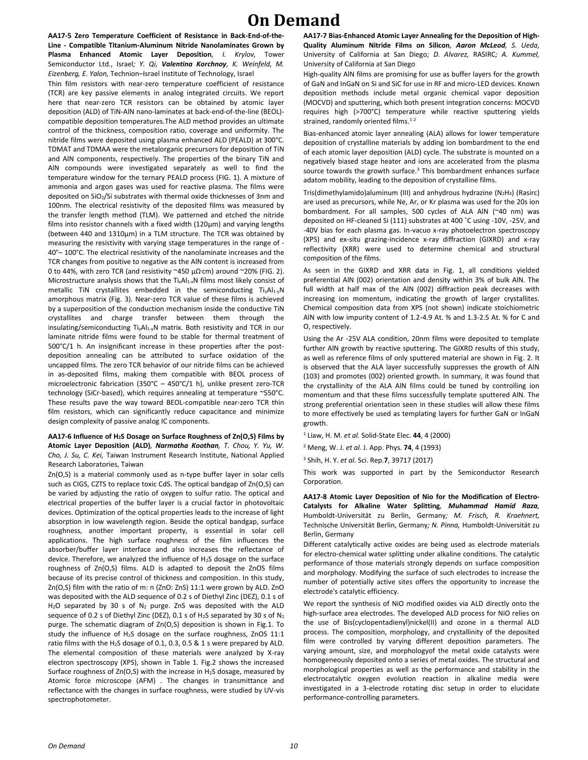**AA17-5 Zero Temperature Coefficient of Resistance in Back-End-of-the-Line - Compatible Titanium-Aluminum Nitride Nanolaminates Grown by Plasma Enhanced Atomic Layer Deposition***, I. Krylov,* Tower Semiconductor Ltd., Israel*; Y. Qi, Valentina Korchnoy, K. Weinfeld, M. Eizenberg, E. Yalon,* Technion–Israel Institute of Technology, Israel

Thin film resistors with near-zero temperature coefficient of resistance (TCR) are key passive elements in analog integrated circuits. We report here that near-zero TCR resistors can be obtained by atomic layer deposition (ALD) of TiN-AlN nano-laminates at back-end-of-the-line (BEOL) compatible deposition temperatures.The ALD method provides an ultimate control of the thickness, composition ratio, coverage and uniformity. The nitride films were deposited using plasma enhanced ALD (PEALD) at 300°C. TDMAT and TDMAA were the metalorganic precursors for deposition of TiN and AlN components, respectively. The properties of the binary TiN and AlN compounds were investigated separately as well to find the temperature window for the ternary PEALD process (FIG. 1). A mixture of ammonia and argon gases was used for reactive plasma. The films were deposited on  $SiO<sub>2</sub>/Si$  substrates with thermal oxide thicknesses of 3nm and 100nm. The electrical resistivity of the deposited films was measured by the transfer length method (TLM). We patterned and etched the nitride films into resistor channels with a fixed width (120µm) and varying lengths (between 440 and 1310µm) in a TLM structure. The TCR was obtained by measuring the resistivity with varying stage temperatures in the range of - 40°– 100°C. The electrical resistivity of the nanolaminate increases and the TCR changes from positive to negative as the AlN content is increased from 0 to 44%, with zero TCR (and resistivity ~450 µΩ.cm) around ~20% (FIG. 2). Microstructure analysis shows that the Ti<sub>x</sub>Al<sub>1-x</sub>N films most likely consist of metallic TiN crystallites embedded in the semiconducting Ti<sub>y</sub>Al<sub>1-y</sub>N amorphous matrix (Fig. 3). Near-zero TCR value of these films is achieved by a superposition of the conduction mechanism inside the conductive TiN crystallites and charge transfer between them through the insulating/semiconducting TiyAl1-yN matrix. Both resistivity and TCR in our laminate nitride films were found to be stable for thermal treatment of 500°C/1 h. An insignificant increase in these properties after the postdeposition annealing can be attributed to surface oxidation of the uncapped films. The zero TCR behavior of our nitride films can be achieved in as-deposited films, making them compatible with BEOL process of microelectronic fabrication (350°C – 450°C/1 h), unlike present zero-TCR technology (SiCr-based), which requires annealing at temperature ~550°C. These results pave the way toward BEOL-compatible near-zero TCR thin film resistors, which can significantly reduce capacitance and minimize design complexity of passive analog IC components.

#### **AA17-6 Influence of H2S Dosage on Surface Roughness of Zn(O,S) Films by Atomic Layer Deposition (ALD)***, Narmatha Koothan, T. Chou, Y. Yu, W. Cho, J. Su, C. Kei,* Taiwan Instrument Research Institute, National Applied Research Laboratories, Taiwan

Zn(O,S) is a material commonly used as n-type buffer layer in solar cells such as CIGS, CZTS to replace toxic CdS. The optical bandgap of Zn(O,S) can be varied by adjusting the ratio of oxygen to sulfur ratio. The optical and electrical properties of the buffer layer is a crucial factor in photovoltaic devices. Optimization of the optical properties leads to the increase of light absorption in low wavelength region. Beside the optical bandgap, surface roughness, another important property, is essential in solar cell applications. The high surface roughness of the film influences the absorber/buffer layer interface and also increases the reflectance of device. Therefore, we analyzed the influence of H2S dosage on the surface roughness of Zn(O,S) films. ALD is adapted to deposit the ZnOS films because of its precise control of thickness and composition. In this study, Zn(O,S) film with the ratio of m: n (ZnO: ZnS) 11:1 were grown by ALD. ZnO was deposited with the ALD sequence of 0.2 s of Diethyl Zinc (DEZ), 0.1 s of H<sub>2</sub>O separated by 30 s of N<sub>2</sub> purge. ZnS was deposited with the ALD sequence of 0.2 s of Diethyl Zinc (DEZ), 0.1 s of H<sub>2</sub>S separated by 30 s of N<sub>2</sub> purge. The schematic diagram of Zn(O,S) deposition is shown in Fig.1. To study the influence of H2S dosage on the surface roughness, ZnOS 11:1 ratio films with the H<sub>2</sub>S dosage of 0.1, 0.3, 0.5 & 1 s were prepared by ALD. The elemental composition of these materials were analyzed by X-ray electron spectroscopy (XPS), shown in Table 1. Fig.2 shows the increased Surface roughness of  $Zn(O,S)$  with the increase in H<sub>2</sub>S dosage, measured by Atomic force microscope (AFM) . The changes in transmittance and reflectance with the changes in surface roughness, were studied by UV-vis spectrophotometer.

**AA17-7 Bias-Enhanced Atomic Layer Annealing for the Deposition of High-Quality Aluminum Nitride Films on Silicon***, Aaron McLeod, S. Ueda,*  University of California at San Diego*; D. Alvarez,* RASIRC*; A. Kummel,*  University of California at San Diego

High-quality AlN films are promising for use as buffer layers for the growth of GaN and InGaN on Si and SiC for use in RF and micro-LED devices. Known deposition methods include metal organic chemical vapor deposition (MOCVD) and sputtering, which both present integration concerns: MOCVD requires high (>700°C) temperature while reactive sputtering yields strained, randomly oriented films.<sup>1-2</sup>

Bias-enhanced atomic layer annealing (ALA) allows for lower temperature deposition of crystalline materials by adding ion bombardment to the end of each atomic layer deposition (ALD) cycle. The substrate is mounted on a negatively biased stage heater and ions are accelerated from the plasma source towards the growth surface.<sup>3</sup> This bombardment enhances surface adatom mobility, leading to the deposition of crystalline films.

Tris(dimethylamido)aluminum (III) and anhydrous hydrazine (N2H4) (Rasirc) are used as precursors, while Ne, Ar, or Kr plasma was used for the 20s ion bombardment. For all samples, 500 cycles of ALA AlN (~40 nm) was deposited on HF-cleaned Si (111) substrates at 400 ˚C using -10V, -25V, and -40V bias for each plasma gas. In-vacuo x-ray photoelectron spectroscopy (XPS) and ex-situ grazing-incidence x-ray diffraction (GIXRD) and x-ray reflectivity (XRR) were used to determine chemical and structural composition of the films.

As seen in the GIXRD and XRR data in Fig. 1, all conditions yielded preferential AlN (002) orientation and density within 3% of bulk AlN. The full width at half max of the AlN (002) diffraction peak decreases with increasing ion momentum, indicating the growth of larger crystallites. Chemical composition data from XPS (not shown) indicate stoichiometric AlN with low impurity content of 1.2-4.9 At. % and 1.3-2.5 At. % for C and O, respectively.

Using the Ar -25V ALA condition, 20nm films were deposited to template further AlN growth by reactive sputtering. The GIXRD results of this study, as well as reference films of only sputtered material are shown in Fig. 2. It is observed that the ALA layer successfully suppresses the growth of AlN (103) and promotes (002) oriented growth. In summary, it was found that the crystallinity of the ALA AlN films could be tuned by controlling ion momentum and that these films successfully template sputtered AlN. The strong preferential orientation seen in these studies will allow these films to more effectively be used as templating layers for further GaN or InGaN growth.

<sup>1</sup> Liaw, H. M. *et al.* Solid-State Elec. **44**, 4 (2000)

<sup>2</sup> Meng, W. J. *et al.* J. App. Phys. **74**, 4 (1993)

<sup>3</sup> Shih, H. Y. *et al.* Sci. Rep.**7**, 39717 (2017)

This work was supported in part by the Semiconductor Research Corporation.

**AA17-8 Atomic Layer Deposition of Nio for the Modification of Electro-Catalysts for Alkaline Water Splitting***, Muhammad Hamid Raza,*  Humboldt-Universität zu Berlin, Germany*; M. Frisch, R. Kraehnert,*  Technische Universität Berlin, Germany*; N. Pinna,* Humboldt-Universität zu Berlin, Germany

Different catalytically active oxides are being used as electrode materials for electro-chemical water splitting under alkaline conditions. The catalytic performance of those materials strongly depends on surface composition and morphology. Modifying the surface of such electrodes to increase the number of potentially active sites offers the opportunity to increase the electrode's catalytic efficiency.

We report the synthesis of NiO modified oxides via ALD directly onto the high-surface area electrodes. The developed ALD process for NiO relies on the use of Bis(cyclopentadienyl)nickel(II) and ozone in a thermal ALD process. The composition, morphology, and crystallinity of the deposited film were controlled by varying different deposition parameters. The varying amount, size, and morphologyof the metal oxide catalysts were homogeneously deposited onto a series of metal oxides. The structural and morphological properties as well as the performance and stability in the electrocatalytic oxygen evolution reaction in alkaline media were investigated in a 3-electrode rotating disc setup in order to elucidate performance-controlling parameters.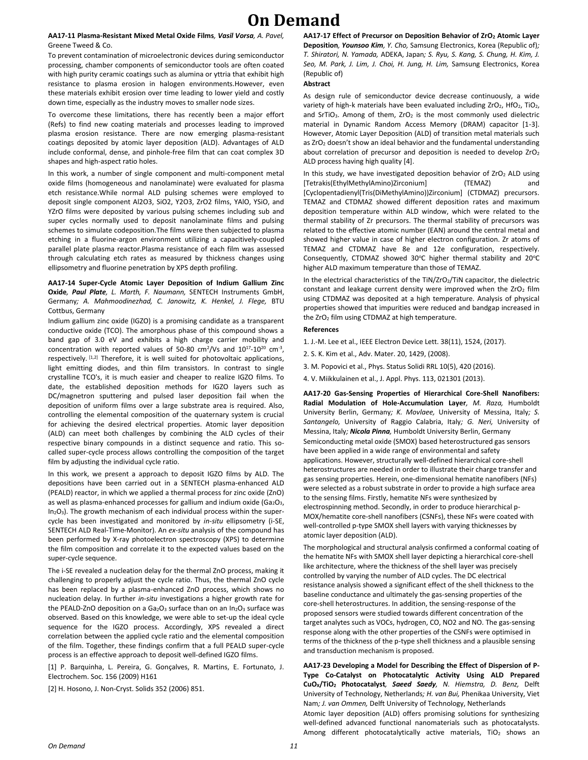#### **AA17-11 Plasma-Resistant Mixed Metal Oxide Films***, Vasil Vorsa, A. Pavel,*  Greene Tweed & Co.

To prevent contamination of microelectronic devices during semiconductor processing, chamber components of semiconductor tools are often coated with high purity ceramic coatings such as alumina or yttria that exhibit high resistance to plasma erosion in halogen environments.However, even these materials exhibit erosion over time leading to lower yield and costly down time, especially as the industry moves to smaller node sizes.

To overcome these limitations, there has recently been a major effort (Refs) to find new coating materials and processes leading to improved plasma erosion resistance. There are now emerging plasma-resistant coatings deposited by atomic layer deposition (ALD). Advantages of ALD include conformal, dense, and pinhole-free film that can coat complex 3D shapes and high-aspect ratio holes.

In this work, a number of single component and multi-component metal oxide films (homogeneous and nanolaminate) were evaluated for plasma etch resistance.While normal ALD pulsing schemes were employed to deposit single component Al2O3, SiO2, Y2O3, ZrO2 films, YAlO, YSiO, and YZrO films were deposited by various pulsing schemes including sub and super cycles normally used to deposit nanolaminate films and pulsing schemes to simulate codeposition.The films were then subjected to plasma etching in a fluorine-argon environment utilizing a capacitively-coupled parallel plate plasma reactor.Plasma resistance of each film was assessed through calculating etch rates as measured by thickness changes using ellipsometry and fluorine penetration by XPS depth profiling.

#### **AA17-14 Super-Cycle Atomic Layer Deposition of Indium Gallium Zinc Oxide***, Paul Plate, L. Marth, F. Naumann,* SENTECH Instruments GmbH, Germany*; A. Mahmoodinezhad, C. Janowitz, K. Henkel, J. Flege,* BTU Cottbus, Germany

Indium gallium zinc oxide (IGZO) is a promising candidate as a transparent conductive oxide (TCO). The amorphous phase of this compound shows a band gap of 3.0 eV and exhibits a high charge carrier mobility and concentration with reported values of 50-80  $\text{cm}^2/\text{Vs}$  and  $10^{17}$ - $10^{20}$  cm<sup>-3</sup>, respectively. [1,2] Therefore, it is well suited for photovoltaic applications, light emitting diodes, and thin film transistors. In contrast to single crystalline TCO's, it is much easier and cheaper to realize IGZO films. To date, the established deposition methods for IGZO layers such as DC/magnetron sputtering and pulsed laser deposition fail when the deposition of uniform films over a large substrate area is required. Also, controlling the elemental composition of the quaternary system is crucial for achieving the desired electrical properties. Atomic layer deposition (ALD) can meet both challenges by combining the ALD cycles of their respective binary compounds in a distinct sequence and ratio. This socalled super-cycle process allows controlling the composition of the target film by adjusting the individual cycle ratio.

In this work, we present a approach to deposit IGZO films by ALD. The depositions have been carried out in a SENTECH plasma-enhanced ALD (PEALD) reactor, in which we applied a thermal process for zinc oxide (ZnO) as well as plasma-enhanced processes for gallium and indium oxide (Ga<sub>2</sub>O<sub>3</sub>, In2O3). The growth mechanism of each individual process within the supercycle has been investigated and monitored by *in-situ* ellipsometry (i-SE, SENTECH ALD Real-Time-Monitor). An *ex-situ* analysis of the compound has been performed by X-ray photoelectron spectroscopy (XPS) to determine the film composition and correlate it to the expected values based on the super-cycle sequence.

The i-SE revealed a nucleation delay for the thermal ZnO process, making it challenging to properly adjust the cycle ratio. Thus, the thermal ZnO cycle has been replaced by a plasma-enhanced ZnO process, which shows no nucleation delay. In further *in-situ* investigations a higher growth rate for the PEALD-ZnO deposition on a Ga<sub>2</sub>O<sub>3</sub> surface than on an In<sub>2</sub>O<sub>3</sub> surface was observed. Based on this knowledge, we were able to set-up the ideal cycle sequence for the IGZO process. Accordingly, XPS revealed a direct correlation between the applied cycle ratio and the elemental composition of the film. Together, these findings confirm that a full PEALD super-cycle process is an effective approach to deposit well-defined IGZO films.

[1] P. Barquinha, L. Pereira, G. Gonçalves, R. Martins, E. Fortunato, J. Electrochem. Soc. 156 (2009) H161

[2] H. Hosono, J. Non-Cryst. Solids 352 (2006) 851.

**AA17-17 Effect of Precursor on Deposition Behavior of ZrO<sup>2</sup> Atomic Layer Deposition***, Younsoo Kim, Y. Cho,* Samsung Electronics, Korea (Republic of)*; T. Shiratori, N. Yamada,* ADEKA, Japan*; S. Ryu, S. Kang, S. Chung, H. Kim, J. Seo, M. Park, J. Lim, J. Choi, H. Jung, H. Lim,* Samsung Electronics, Korea (Republic of)

#### **Abstract**

As design rule of semiconductor device decrease continuously, a wide variety of high-k materials have been evaluated including ZrO<sub>2</sub>, HfO<sub>2</sub>, TiO<sub>2</sub>, and SrTiO<sub>3</sub>. Among of them,  $ZrO<sub>2</sub>$  is the most commonly used dielectric material in Dynamic Random Access Memory (DRAM) capacitor [1-3]. However, Atomic Layer Deposition (ALD) of transition metal materials such as ZrO<sub>2</sub> doesn't show an ideal behavior and the fundamental understanding about correlation of precursor and deposition is needed to develop  $ZrO<sub>2</sub>$ ALD process having high quality [4].

In this study, we have investigated deposition behavior of ZrO<sub>2</sub> ALD using [Tetrakis(EthylMethylAmino)Zirconium] (TEMAZ) and [Cyclopentadienyl(Tris(DiMethylAmino))Zirconium] (CTDMAZ) precursors. TEMAZ and CTDMAZ showed different deposition rates and maximum deposition temperature within ALD window, which were related to the thermal stability of Zr precursors. The thermal stability of precursors was related to the effective atomic number (EAN) around the central metal and showed higher value in case of higher electron configuration. Zr atoms of TEMAZ and CTDMAZ have 8e and 12e configuration, respectively. Consequently, CTDMAZ showed 30°C higher thermal stability and 20°C higher ALD maximum temperature than those of TEMAZ.

In the electrical characteristics of the TiN/ZrO<sub>2</sub>/TiN capacitor, the dielectric constant and leakage current density were improved when the  $ZrO<sub>2</sub>$  film using CTDMAZ was deposited at a high temperature. Analysis of physical properties showed that impurities were reduced and bandgap increased in the ZrO<sup>2</sup> film using CTDMAZ at high temperature.

#### **References**

1. J.-M. Lee et al., IEEE Electron Device Lett. 38(11), 1524, (2017).

2. S. K. Kim et al., Adv. Mater. 20, 1429, (2008).

3. M. Popovici et al., Phys. Status Solidi RRL 10(5), 420 (2016).

4. V. Miikkulainen et al., J. Appl. Phys. 113, 021301 (2013).

**AA17-20 Gas-Sensing Properties of Hierarchical Core-Shell Nanofibers: Radial Modulation of Hole-Accumulation Layer***, M. Raza,* Humboldt University Berlin, Germany*; K. Movlaee,* University of Messina, Italy*; S. Santangelo,* University of Raggio Calabria, Italy*; G. Neri,* University of Messina, Italy*; Nicola Pinna,* Humboldt University Berlin, Germany Semiconducting metal oxide (SMOX) based heterostructured gas sensors have been applied in a wide range of environmental and safety applications. However, structurally well-defined hierarchical core-shell heterostructures are needed in order to illustrate their charge transfer and gas sensing properties. Herein, one-dimensional hematite nanofibers (NFs) were selected as a robust substrate in order to provide a high surface area to the sensing films. Firstly, hematite NFs were synthesized by electrospinning method. Secondly, in order to produce hierarchical p-MOX/hematite core-shell nanofibers (CSNFs), these NFs were coated with well-controlled p-type SMOX shell layers with varying thicknesses by atomic layer deposition (ALD).

The morphological and structural analysis confirmed a conformal coating of the hematite NFs with SMOX shell layer depicting a hierarchical core-shell like architecture, where the thickness of the shell layer was precisely controlled by varying the number of ALD cycles. The DC electrical resistance analysis showed a significant effect of the shell thickness to the baseline conductance and ultimately the gas-sensing properties of the core-shell heterostructures. In addition, the sensing-response of the proposed sensors were studied towards different concentration of the target analytes such as VOCs, hydrogen, CO, NO2 and NO. The gas-sensing response along with the other properties of the CSNFs were optimised in terms of the thickness of the p-type shell thickness and a plausible sensing and transduction mechanism is proposed.

**AA17-23 Developing a Model for Describing the Effect of Dispersion of P-Type Co-Catalyst on Photocatalytic Activity Using ALD Prepared CuOX/TiO<sup>2</sup> Photocatalyst***, Saeed Saedy, N. Hiemstra, D. Benz,* Delft University of Technology, Netherlands*; H. van Bui,* Phenikaa University, Viet Nam*; J. van Ommen,* Delft University of Technology, Netherlands Atomic layer deposition (ALD) offers promising solutions for synthesizing well-defined advanced functional nanomaterials such as photocatalysts. Among different photocatalytically active materials,  $TiO<sub>2</sub>$  shows an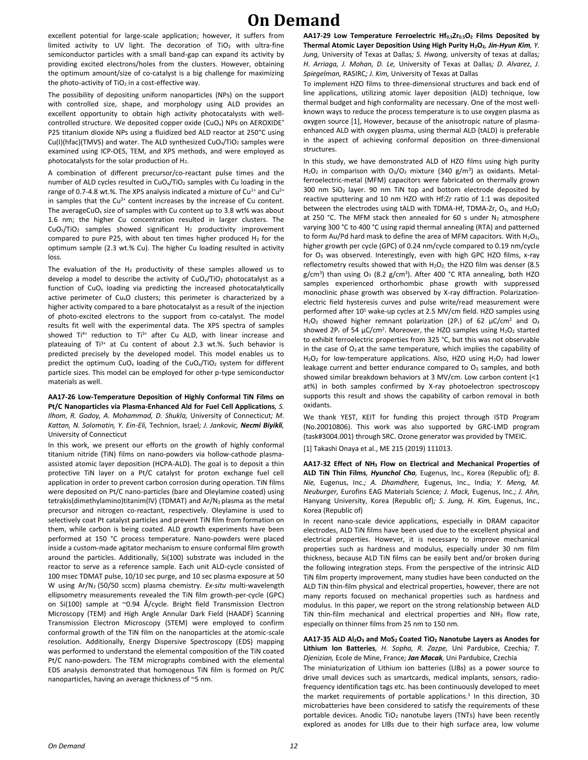excellent potential for large-scale application; however, it suffers from limited activity to UV light. The decoration of  $TiO<sub>2</sub>$  with ultra-fine semiconductor particles with a small band-gap can expand its activity by providing excited electrons/holes from the clusters. However, obtaining the optimum amount/size of co-catalyst is a big challenge for maximizing the photo-activity of  $TiO<sub>2</sub>$  in a cost-effective way.

The possibility of depositing uniform nanoparticles (NPs) on the support with controlled size, shape, and morphology using ALD provides an excellent opportunity to obtain high activity photocatalysts with wellcontrolled structure. We deposited copper oxide (CuO<sub>x</sub>) NPs on AEROXIDE<sup>®</sup> P25 titanium dioxide NPs using a fluidized bed ALD reactor at 250°C using Cu(I)(hfac)(TMVS) and water. The ALD synthesized CuO<sub>x</sub>/TiO<sub>2</sub> samples were examined using ICP-OES, TEM, and XPS methods, and were employed as photocatalysts for the solar production of  $H_2$ .

A combination of different precursor/co-reactant pulse times and the number of ALD cycles resulted in CuOx/TiO<sup>2</sup> samples with Cu loading in the range of 0.7-4.8 wt.%. The XPS analysis indicated a mixture of  $Cu^{1+}$  and  $Cu^{2+}$ in samples that the Cu<sup>2+</sup> content increases by the increase of Cu content. The averageCuO<sub>x</sub> size of samples with Cu content up to 3.8 wt% was about 1.6 nm; the higher Cu concentration resulted in larger clusters. The  $CuO<sub>x</sub>/TiO<sub>2</sub>$  samples showed significant H<sub>2</sub> productivity improvement compared to pure P25, with about ten times higher produced  $H_2$  for the optimum sample (2.3 wt.% Cu). The higher Cu loading resulted in activity loss.

The evaluation of the  $H_2$  productivity of these samples allowed us to develop a model to describe the activity of  $CuO<sub>x</sub>/TiO<sub>2</sub>$  photocatalyst as a function of CuO<sup>x</sup> loading via predicting the increased photocatalytically active perimeter of CuxO clusters; this perimeter is characterized by a higher activity compared to a bare photocatalyst as a result of the injection of photo-excited electrons to the support from co-catalyst. The model results fit well with the experimental data. The XPS spectra of samples showed Ti<sup>4+</sup> reduction to Ti<sup>3+</sup> after Cu ALD, with linear increase and plateauing of Ti<sup>3+</sup> at Cu content of about 2.3 wt.%. Such behavior is predicted precisely by the developed model. This model enables us to predict the optimum CuO<sub>x</sub> loading of the CuO<sub>x</sub>/TiO<sub>2</sub> system for different particle sizes. This model can be employed for other p-type semiconductor materials as well.

#### **AA17-26 Low-Temperature Deposition of Highly Conformal TiN Films on Pt/C Nanoparticles via Plasma-Enhanced Ald for Fuel Cell Applications***, S. Ilhom, R. Godoy, A. Mohammad, D. Shukla,* University of Connecticut*; M. Kattan, N. Solomatin, Y. Ein-Eli,* Technion, Israel*; J. Jankovic, Necmi Biyikli,*  University of Connecticut

In this work, we present our efforts on the growth of highly conformal titanium nitride (TiN) films on nano-powders via hollow-cathode plasmaassisted atomic layer deposition (HCPA-ALD). The goal is to deposit a thin protective TiN layer on a Pt/C catalyst for proton exchange fuel cell application in order to prevent carbon corrosion during operation. TiN films were deposited on Pt/C nano-particles (bare and Oleylamine coated) using tetrakis(dimethylamino)titanim(IV) (TDMAT) and Ar/N2 plasma as the metal precursor and nitrogen co-reactant, respectively. Oleylamine is used to selectively coat Pt catalyst particles and prevent TiN film from formation on them, while carbon is being coated. ALD growth experiments have been performed at 150 °C process temperature. Nano-powders were placed inside a custom-made agitator mechanism to ensure conformal film growth around the particles. Additionally, Si(100) substrate was included in the reactor to serve as a reference sample. Each unit ALD-cycle consisted of 100 msec TDMAT pulse, 10/10 sec purge, and 10 sec plasma exposure at 50 W using Ar/N2 (50/50 sccm) plasma chemistry. *Ex-situ* multi-wavelength ellipsometry measurements revealed the TiN film growth-per-cycle (GPC) on Si(100) sample at ~0.94 Å/cycle. Bright field Transmission Electron Microscopy (TEM) and High Angle Annular Dark Field (HAADF) Scanning Transmission Electron Microscopy (STEM) were employed to confirm conformal growth of the TiN film on the nanoparticles at the atomic-scale resolution. Additionally, Energy Dispersive Spectroscopy (EDS) mapping was performed to understand the elemental composition of the TiN coated Pt/C nano-powders. The TEM micrographs combined with the elemental EDS analysis demonstrated that homogenous TiN film is formed on Pt/C nanoparticles, having an average thickness of ~5 nm.

**AA17-29 Low Temperature Ferroelectric Hf0.5Zr0.5O<sup>2</sup> Films Deposited by Thermal Atomic Layer Deposition Using High Purity H2O2***, Jin-Hyun Kim, Y. Jung,* University of Texas at Dallas*; S. Hwang,* university of texas at dallas*; H. Arriaga, J. Mohan, D. Le,* University of Texas at Dallas*; D. Alvarez, J. Spiegelman,* RASIRC*; J. Kim,* University of Texas at Dallas

To implement HZO films to three-dimensional structures and back end of line applications, utilizing atomic layer deposition (ALD) technique, low thermal budget and high conformality are necessary. One of the most wellknown ways to reduce the process temperature is to use oxygen plasma as oxygen source [1], However, because of the anisotropic nature of plasmaenhanced ALD with oxygen plasma, using thermal ALD (tALD) is preferable in the aspect of achieving conformal deposition on three-dimensional structures.

In this study, we have demonstrated ALD of HZO films using high purity  $H_2O_2$  in comparison with  $O_3/O_2$  mixture (340 g/m<sup>3</sup>) as oxidants. Metalferroelectric-metal (MFM) capacitors were fabricated on thermally grown 300 nm SiO<sup>2</sup> layer. 90 nm TiN top and bottom electrode deposited by reactive sputtering and 10 nm HZO with Hf:Zr ratio of 1:1 was deposited between the electrodes using tALD with TDMA-Hf, TDMA-Zr,  $O_3$ , and  $H_2O_2$ at 250 °C. The MFM stack then annealed for 60 s under  $N_2$  atmosphere varying 300 °C to 400 °C using rapid thermal annealing (RTA) and patterned to form Au/Pd hard mask to define the area of MFM capacitors. With  $H_2O_2$ , higher growth per cycle (GPC) of 0.24 nm/cycle compared to 0.19 nm/cycle for O<sup>3</sup> was observed. Interestingly, even with high GPC HZO films, x-ray reflectometry results showed that with  $H_2O_2$ , the HZO film was denser (8.5 g/cm<sup>3</sup>) than using O<sub>3</sub> (8.2 g/cm<sup>3</sup>). After 400 °C RTA annealing, both HZO samples experienced orthorhombic phase growth with suppressed monoclinic phase growth was observed by X-ray diffraction. Polarizationelectric field hysteresis curves and pulse write/read measurement were performed after 10<sup>5</sup> wake-up cycles at 2.5 MV/cm field. HZO samples using H<sub>2</sub>O<sub>2</sub> showed higher remnant polarization (2P<sub>r</sub>) of 62  $\mu$ C/cm<sup>2</sup> and O<sub>3</sub> showed  $2P_r$  of 54  $\mu$ C/cm<sup>2</sup>. Moreover, the HZO samples using H<sub>2</sub>O<sub>2</sub> started to exhibit ferroelectric properties from 325 °C, but this was not observable in the case of  $O_3$  at the same temperature, which implies the capability of H<sub>2</sub>O<sub>2</sub> for low-temperature applications. Also, HZO using H<sub>2</sub>O<sub>2</sub> had lower leakage current and better endurance compared to  $O<sub>3</sub>$  samples, and both showed similar breakdown behaviors at 3 MV/cm. Low carbon content (<1 at%) in both samples confirmed by X-ray photoelectron spectroscopy supports this result and shows the capability of carbon removal in both oxidants.

We thank YEST, KEIT for funding this project through ISTD Program (No.20010806). This work was also supported by GRC-LMD program (task#3004.001) through SRC. Ozone generator was provided by TMEIC.

[1] Takashi Onaya et al., ME 215 (2019) 111013.

**AA17-32 Effect of NH<sup>3</sup> Flow on Electrical and Mechanical Properties of ALD TiN Thin Films***, Hyunchol Cho,* Eugenus, Inc., Korea (Republic of)*; B. Nie,* Eugenus, Inc.*; A. Dhamdhere,* Eugenus, Inc., India*; Y. Meng, M. Neuburger,* Eurofins EAG Materials Science*; J. Mack,* Eugenus, Inc.*; J. Ahn,*  Hanyang University, Korea (Republic of)*; S. Jung, H. Kim,* Eugenus, Inc., Korea (Republic of)

In recent nano-scale device applications, especially in DRAM capacitor electrodes, ALD TiN films have been used due to the excellent physical and electrical properties. However, it is necessary to improve mechanical properties such as hardness and modulus, especially under 30 nm film thickness, because ALD TiN films can be easily bent and/or broken during the following integration steps. From the perspective of the intrinsic ALD TiN film property improvement, many studies have been conducted on the ALD TiN thin-film physical and electrical properties, however, there are not many reports focused on mechanical properties such as hardness and modulus. In this paper, we report on the strong relationship between ALD TiN thin-film mechanical and electrical properties and NH<sup>3</sup> flow rate, especially on thinner films from 25 nm to 150 nm.

#### **AA17-35 ALD Al2O<sup>3</sup> and MoS<sup>2</sup> Coated TiO<sup>2</sup> Nanotube Layers as Anodes for Lithium Ion Batteries***, H. Sopha, R. Zazpe,* Uni Pardubice, Czechia*; T. Djenizian,* Ecole de Mine, France*; Jan Macak,* Uni Pardubice, Czechia

The miniaturization of Lithium ion batteries (LIBs) as a power source to drive small devices such as smartcards, medical implants, sensors, radiofrequency identification tags etc. has been continuously developed to meet the market requirements of portable applications.<sup>1</sup> In this direction, 3D microbatteries have been considered to satisfy the requirements of these portable devices. Anodic TiO<sub>2</sub> nanotube layers (TNTs) have been recently explored as anodes for LIBs due to their high surface area, low volume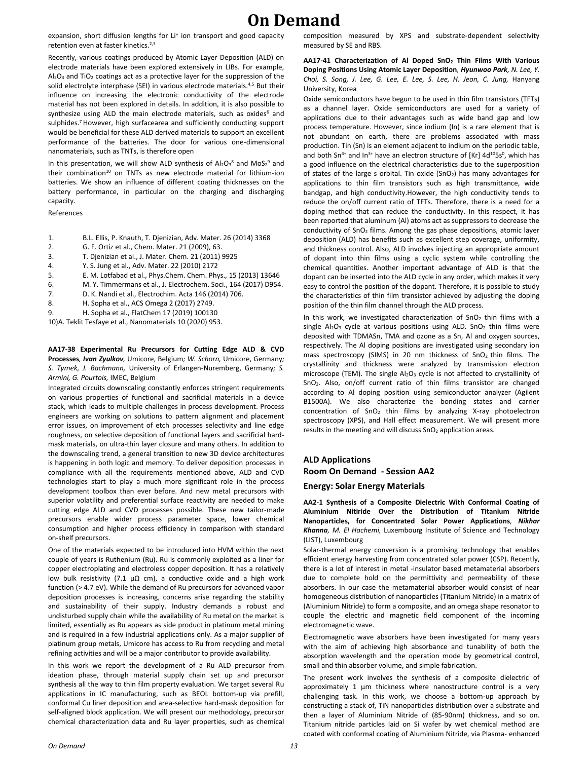expansion, short diffusion lengths for Li<sup>+</sup> ion transport and good capacity retention even at faster kinetics.<sup>2,3</sup>

Recently, various coatings produced by Atomic Layer Deposition (ALD) on electrode materials have been explored extensively in LIBs. For example,  $Al_2O_3$  and TiO<sub>2</sub> coatings act as a protective layer for the suppression of the solid electrolyte interphase (SEI) in various electrode materials.<sup>4,5</sup> But their influence on increasing the electronic conductivity of the electrode material has not been explored in details. In addition, it is also possible to synthesize using ALD the main electrode materials, such as oxides<sup>6</sup> and sulphides.<sup>7</sup> However, high surfacearea and sufficiently conducting support would be beneficial for these ALD derived materials to support an excellent performance of the batteries. The door for various one-dimensional nanomaterials, such as TNTs, is therefore open

In this presentation, we will show ALD synthesis of  $Al_2O_3^8$  and  $MoS_2^9$  and their combination<sup>10</sup> on TNTs as new electrode material for lithium-ion batteries. We show an influence of different coating thicknesses on the battery performance, in particular on the charging and discharging capacity.

References

- 1. B.L. Ellis, P. Knauth, T. Djenizian, Adv. Mater. 26 (2014) 3368
- 2. G. F. Ortiz et al., Chem. Mater. 21 (2009), 63.
- 3. T. Djenizian et al., J. Mater. Chem. 21 (2011) 9925
- 4. Y. S. Jung et al., Adv. Mater. 22 (2010) 2172
- 5. E. M. Lotfabad et al., Phys.Chem. Chem. Phys., 15 (2013) 13646
- 6. M. Y. Timmermans et al., J. Electrochem. Soci., 164 (2017) D954.
- 7. D. K. Nandi et al., Electrochim. Acta 146 (2014) 706.
- 8. H. Sopha et al., ACS Omega 2 (2017) 2749.
- 9. H. Sopha et al., FlatChem 17 (2019) 100130

10)A. Teklit Tesfaye et al., Nanomaterials 10 (2020) 953.

#### **AA17-38 Experimental Ru Precursors for Cutting Edge ALD & CVD Processes***, Ivan Zyulkov,* Umicore, Belgium*; W. Schorn,* Umicore, Germany*; S. Tymek, J. Bachmann,* University of Erlangen-Nuremberg, Germany*; S. Armini, G. Pourtois,* IMEC, Belgium

Integrated circuits downscaling constantly enforces stringent requirements on various properties of functional and sacrificial materials in a device stack, which leads to multiple challenges in process development. Process engineers are working on solutions to pattern alignment and placement error issues, on improvement of etch processes selectivity and line edge roughness, on selective deposition of functional layers and sacrificial hardmask materials, on ultra-thin layer closure and many others. In addition to the downscaling trend, a general transition to new 3D device architectures is happening in both logic and memory. To deliver deposition processes in compliance with all the requirements mentioned above, ALD and CVD technologies start to play a much more significant role in the process development toolbox than ever before. And new metal precursors with superior volatility and preferential surface reactivity are needed to make cutting edge ALD and CVD processes possible. These new tailor-made precursors enable wider process parameter space, lower chemical consumption and higher process efficiency in comparison with standard on-shelf precursors.

One of the materials expected to be introduced into HVM within the next couple of years is Ruthenium (Ru). Ru is commonly exploited as a liner for copper electroplating and electroless copper deposition. It has a relatively low bulk resistivity (7.1 μΩ cm), a conductive oxide and a high work function (> 4.7 eV). While the demand of Ru precursors for advanced vapor deposition processes is increasing, concerns arise regarding the stability and sustainability of their supply. Industry demands a robust and undisturbed supply chain while the availability of Ru metal on the market is limited, essentially as Ru appears as side product in platinum metal mining and is required in a few industrial applications only. As a major supplier of platinum group metals, Umicore has access to Ru from recycling and metal refining activities and will be a major contributor to provide availability.

In this work we report the development of a Ru ALD precursor from ideation phase, through material supply chain set up and precursor synthesis all the way to thin film property evaluation. We target several Ru applications in IC manufacturing, such as BEOL bottom-up via prefill, conformal Cu liner deposition and area-selective hard-mask deposition for self-aligned block application. We will present our methodology, precursor chemical characterization data and Ru layer properties, such as chemical

composition measured by XPS and substrate-dependent selectivity measured by SE and RBS.

**AA17-41 Characterization of Al Doped SnO<sup>2</sup> Thin Films With Various Doping Positions Using Atomic Layer Deposition***, Hyunwoo Park, N. Lee, Y. Choi, S. Song, J. Lee, G. Lee, E. Lee, S. Lee, H. Jeon, C. Jung,* Hanyang University, Korea

Oxide semiconductors have begun to be used in thin film transistors (TFTs) as a channel layer. Oxide semiconductors are used for a variety of applications due to their advantages such as wide band gap and low process temperature. However, since indium (In) is a rare element that is not abundant on earth, there are problems associated with mass production. Tin (Sn) is an element adjacent to indium on the periodic table, and both Sn<sup>4+</sup> and In<sup>3+</sup> have an electron structure of [Kr]  $4d^{10}5s^0$ , which has a good influence on the electrical characteristics due to the superposition of states of the large s orbital. Tin oxide (SnO<sub>2</sub>) has many advantages for applications to thin film transistors such as high transmittance, wide bandgap, and high conductivity.However, the high conductivity tends to reduce the on/off current ratio of TFTs. Therefore, there is a need for a doping method that can reduce the conductivity. In this respect, it has been reported that aluminum (Al) atoms act as suppressors to decrease the conductivity of  $SnO<sub>2</sub>$  films. Among the gas phase depositions, atomic layer deposition (ALD) has benefits such as excellent step coverage, uniformity, and thickness control. Also, ALD involves injecting an appropriate amount of dopant into thin films using a cyclic system while controlling the chemical quantities. Another important advantage of ALD is that the dopant can be inserted into the ALD cycle in any order, which makes it very easy to control the position of the dopant. Therefore, it is possible to study the characteristics of thin film transistor achieved by adjusting the doping position of the thin film channel through the ALD process.

In this work, we investigated characterization of  $SnO<sub>2</sub>$  thin films with a single Al<sub>2</sub>O<sub>3</sub> cycle at various positions using ALD. SnO<sub>2</sub> thin films were deposited with TDMASn, TMA and ozone as a Sn, Al and oxygen sources, respectively. The Al doping positions are investigated using secondary ion mass spectroscopy (SIMS) in 20 nm thickness of SnO<sub>2</sub> thin films. The crystallinity and thickness were analyzed by transmission electron microscope (TEM). The single Al<sub>2</sub>O<sub>3</sub> cycle is not affected to crystallinity of SnO2. Also, on/off current ratio of thin films transistor are changed according to Al doping position using semiconductor analyzer (Agilent B1500A). We also characterize the bonding states and carrier concentration of  $SnO<sub>2</sub>$  thin films by analyzing X-ray photoelectron spectroscopy (XPS), and Hall effect measurement. We will present more results in the meeting and will discuss  $SnO<sub>2</sub>$  application areas.

### **ALD Applications Room On Demand - Session AA2**

#### **Energy: Solar Energy Materials**

**AA2-1 Synthesis of a Composite Dielectric With Conformal Coating of Aluminium Nitiride Over the Distribution of Titanium Nitride Nanoparticles, for Concentrated Solar Power Applications***, Nikhar Khanna, M. El Hachemi,* Luxembourg Institute of Science and Technology (LIST), Luxembourg

Solar-thermal energy conversion is a promising technology that enables efficient energy harvesting from concentrated solar power (CSP). Recently, there is a lot of interest in metal -insulator based metamaterial absorbers due to complete hold on the permittivity and permeability of these absorbers. In our case the metamaterial absorber would consist of near homogeneous distribution of nanoparticles (Titanium Nitride) in a matrix of (Aluminium Nitride) to form a composite, and an omega shape resonator to couple the electric and magnetic field component of the incoming electromagnetic wave.

Electromagnetic wave absorbers have been investigated for many years with the aim of achieving high absorbance and tunability of both the absorption wavelength and the operation mode by geometrical control, small and thin absorber volume, and simple fabrication.

The present work involves the synthesis of a composite dielectric of approximately 1 µm thickness where nanostructure control is a very challenging task. In this work, we choose a bottom-up approach by constructing a stack of, TiN nanoparticles distribution over a substrate and then a layer of Aluminium Nitride of (85-90nm) thickness, and so on. Titanium nitride particles laid on Si wafer by wet chemical method are coated with conformal coating of Aluminium Nitride, via Plasma- enhanced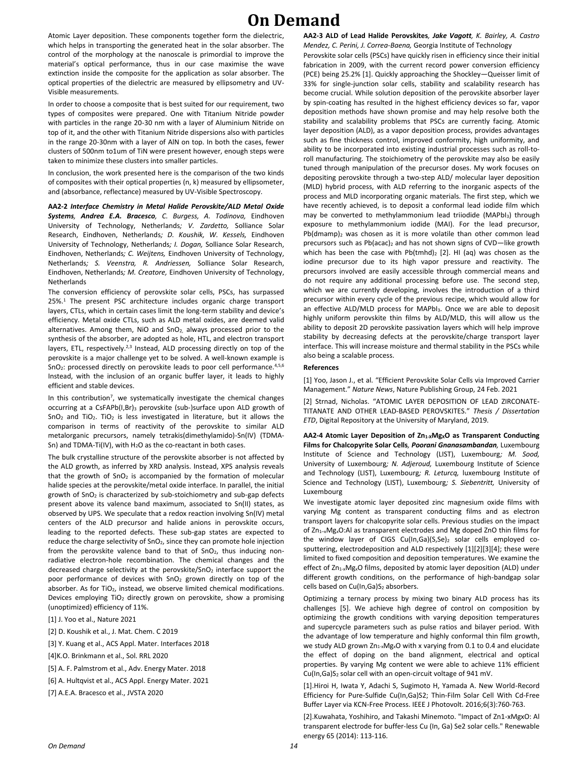Atomic Layer deposition. These components together form the dielectric, which helps in transporting the generated heat in the solar absorber. The control of the morphology at the nanoscale is primordial to improve the material's optical performance, thus in our case maximise the wave extinction inside the composite for the application as solar absorber. The optical properties of the dielectric are measured by ellipsometry and UV-Visible measurements.

In order to choose a composite that is best suited for our requirement, two types of composites were prepared. One with Titanium Nitride powder with particles in the range 20-30 nm with a layer of Aluminium Nitride on top of it, and the other with Titanium Nitride dispersions also with particles in the range 20-30nm with a layer of AlN on top. In both the cases, fewer clusters of 500nm to1um of TiN were present however, enough steps were taken to minimize these clusters into smaller particles.

In conclusion, the work presented here is the comparison of the two kinds of composites with their optical properties (n, k) measured by ellipsometer, and (absorbance, reflectance) measured by UV-Visible Spectroscopy.

**AA2-2** *Interface Chemistry in Metal Halide Perovskite/ALD Metal Oxide Systems, Andrea E.A. Bracesco, C. Burgess, A. Todinova,* Eindhoven University of Technology, Netherlands*; V. Zardetto,* Solliance Solar Research, Eindhoven, Netherlands*; D. Koushik, W. Kessels,* Eindhoven University of Technology, Netherlands*; I. Dogan,* Solliance Solar Research, Eindhoven, Netherlands*; C. Weijtens,* Eindhoven University of Technology, Netherlands*; S. Veenstra, R. Andriessen,* Solliance Solar Research, Eindhoven, Netherlands*; M. Creatore,* Eindhoven University of Technology, Netherlands

The conversion efficiency of perovskite solar cells, PSCs, has surpassed 25%.<sup>1</sup> The present PSC architecture includes organic charge transport layers, CTLs, which in certain cases limit the long-term stability and device's efficiency. Metal oxide CTLs, such as ALD metal oxides, are deemed valid alternatives. Among them, NiO and SnO<sub>2</sub>, always processed prior to the synthesis of the absorber, are adopted as hole, HTL, and electron transport layers, ETL, respectively.<sup>2,3</sup> Instead, ALD processing directly on top of the perovskite is a major challenge yet to be solved. A well-known example is SnO<sub>2</sub>: processed directly on perovskite leads to poor cell performance.<sup>4,5,6</sup> Instead, with the inclusion of an organic buffer layer, it leads to highly efficient and stable devices.

In this contribution<sup>7</sup>, we systematically investigate the chemical changes occurring at a CsFAPb(I,Br)<sub>3</sub> perovskite (sub-)surface upon ALD growth of SnO<sub>2</sub> and TiO<sub>2</sub>. TiO<sub>2</sub> is less investigated in literature, but it allows the comparison in terms of reactivity of the perovskite to similar ALD metalorganic precursors, namely tetrakis(dimethylamido)-Sn(IV) (TDMA-Sn) and TDMA-Ti(IV), with  $H_2O$  as the co-reactant in both cases.

The bulk crystalline structure of the perovskite absorber is not affected by the ALD growth, as inferred by XRD analysis. Instead, XPS analysis reveals that the growth of  $SnO<sub>2</sub>$  is accompanied by the formation of molecular halide species at the perovskite/metal oxide interface. In parallel, the initial growth of  $SnO<sub>2</sub>$  is characterized by sub-stoichiometry and sub-gap defects present above its valence band maximum, associated to Sn(II) states, as observed by UPS. We speculate that a redox reaction involving Sn(IV) metal centers of the ALD precursor and halide anions in perovskite occurs, leading to the reported defects. These sub-gap states are expected to reduce the charge selectivity of SnO<sub>2</sub>, since they can promote hole injection from the perovskite valence band to that of SnO<sub>2</sub>, thus inducing nonradiative electron-hole recombination. The chemical changes and the decreased charge selectivity at the perovskite/SnO<sub>2</sub> interface support the poor performance of devices with SnO<sub>2</sub> grown directly on top of the absorber. As for  $TiO<sub>2</sub>$ , instead, we observe limited chemical modifications. Devices employing TiO<sub>2</sub> directly grown on perovskite, show a promising (unoptimized) efficiency of 11%.

[1] J. Yoo et al., Nature 2021

[2] D. Koushik et al., J. Mat. Chem. C 2019

[3] Y. Kuang et al., ACS Appl. Mater. Interfaces 2018

[4]K.O. Brinkmann et al., Sol. RRL 2020

[5] A. F. Palmstrom et al., Adv. Energy Mater. 2018

[6] A. Hultqvist et al., ACS Appl. Energy Mater. 2021

[7] A.E.A. Bracesco et al., JVSTA 2020

**AA2-3 ALD of Lead Halide Perovskites***, Jake Vagott, K. Bairley, A. Castro Mendez, C. Perini, J. Correa-Baena,* Georgia Institute of Technology

Perovskite solar cells (PSCs) have quickly risen in efficiency since their initial fabrication in 2009, with the current record power conversion efficiency (PCE) being 25.2% [1]. Quickly approaching the Shockley—Queisser limit of 33% for single-junction solar cells, stability and scalability research has become crucial. While solution deposition of the perovskite absorber layer by spin-coating has resulted in the highest efficiency devices so far, vapor deposition methods have shown promise and may help resolve both the stability and scalability problems that PSCs are currently facing. Atomic layer deposition (ALD), as a vapor deposition process, provides advantages such as fine thickness control, improved conformity, high uniformity, and ability to be incorporated into existing industrial processes such as roll-toroll manufacturing. The stoichiometry of the perovskite may also be easily tuned through manipulation of the precursor doses. My work focuses on depositing perovskite through a two-step ALD/ molecular layer deposition (MLD) hybrid process, with ALD referring to the inorganic aspects of the process and MLD incorporating organic materials. The first step, which we have recently achieved, is to deposit a conformal lead iodide film which may be converted to methylammonium lead triiodide (MAPbI<sub>3</sub>) through exposure to methylammonium iodide (MAI). For the lead precursor,  $Pb$ (dmamp), was chosen as it is more volatile than other common lead precursors such as Pb(acac)<sub>2</sub> and has not shown signs of CVD-like growth which has been the case with  $Pb$ (tmhd)<sub>2</sub> [2]. HI (aq) was chosen as the iodine precursor due to its high vapor pressure and reactivity. The precursors involved are easily accessible through commercial means and do not require any additional processing before use. The second step, which we are currently developing, involves the introduction of a third precursor within every cycle of the previous recipe, which would allow for an effective ALD/MLD process for MAPbI<sub>3</sub>. Once we are able to deposit highly uniform perovskite thin films by ALD/MLD, this will allow us the ability to deposit 2D perovskite passivation layers which will help improve stability by decreasing defects at the perovskite/charge transport layer interface. This will increase moisture and thermal stability in the PSCs while also being a scalable process.

#### **References**

[1] Yoo, Jason J., et al. "Efficient Perovskite Solar Cells via Improved Carrier Management." *Nature News*, Nature Publishing Group, 24 Feb. 2021

[2] Strnad, Nicholas. "ATOMIC LAYER DEPOSITION OF LEAD ZIRCONATE-TITANATE AND OTHER LEAD-BASED PEROVSKITES." *Thesis / Dissertation ETD*, Digital Repository at the University of Maryland, 2019.

**AA2-4 Atomic Layer Deposition of Zn1-XMgXO as Transparent Conducting Films for Chalcopyrite Solar Cells***, Poorani Gnanasambandan,* Luxembourg Institute of Science and Technology (LIST), Luxembourg*; M. Sood,*  University of Luxembourg*; N. Adjeroud,* Luxembourg Institute of Science and Technology (LIST), Luxembourg*; R. Leturcq,* luxembourg Institute of Science and Technology (LIST), Luxembourg*; S. Siebentritt,* University of Luxembourg

We investigate atomic layer deposited zinc magnesium oxide films with varying Mg content as transparent conducting films and as electron transport layers for chalcopyrite solar cells. Previous studies on the impact of Zn1–xMgxO:Al as transparent electrodes and Mg doped ZnO thin films for the window layer of CIGS Cu(In,Ga)(S,Se)<sub>2</sub> solar cells employed cosputtering, electrodeposition and ALD respectively [1][2][3][4]; these were limited to fixed composition and deposition temperatures. We examine the effect of  $Zn_{1-x}Mg_xO$  films, deposited by atomic layer deposition (ALD) under different growth conditions, on the performance of high-bandgap solar cells based on Cu(In,Ga)S<sub>2</sub> absorbers.

Optimizing a ternary process by mixing two binary ALD process has its challenges [5]. We achieve high degree of control on composition by optimizing the growth conditions with varying deposition temperatures and supercycle parameters such as pulse ratios and bilayer period. With the advantage of low temperature and highly conformal thin film growth, we study ALD grown Zn<sub>1-x</sub>Mg<sub>x</sub>O with x varying from 0.1 to 0.4 and elucidate the effect of doping on the band alignment, electrical and optical properties. By varying Mg content we were able to achieve 11% efficient  $Cu(In, Ga)S<sub>2</sub>$  solar cell with an open-circuit voltage of 941 mV.

[1].Hiroi H, Iwata Y, Adachi S, Sugimoto H, Yamada A. New World-Record Efficiency for Pure-Sulfide Cu(In,Ga)S2; Thin-Film Solar Cell With Cd-Free Buffer Layer via KCN-Free Process. IEEE J Photovolt. 2016;6(3):760-763.

[2].Kuwahata, Yoshihiro, and Takashi Minemoto. "Impact of Zn1-xMgxO: Al transparent electrode for buffer-less Cu (In, Ga) Se2 solar cells." Renewable energy 65 (2014): 113-116.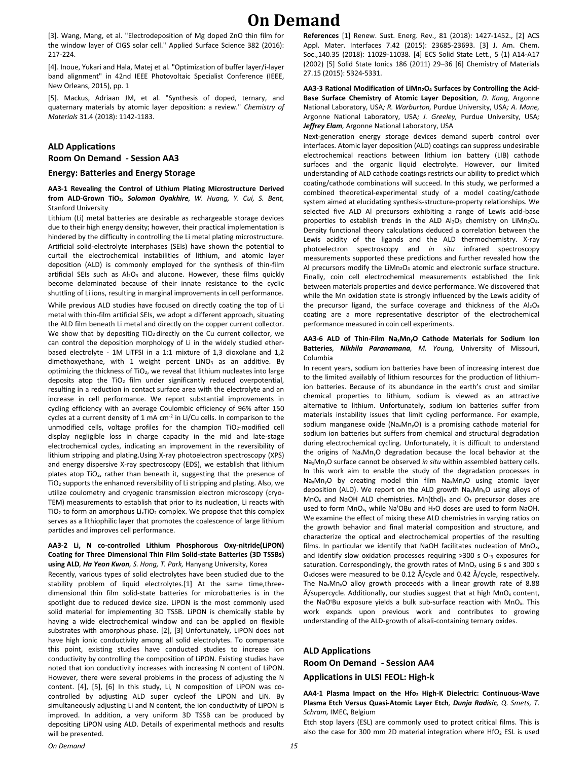[3]. Wang, Mang, et al. "Electrodeposition of Mg doped ZnO thin film for the window layer of CIGS solar cell." Applied Surface Science 382 (2016): 217-224.

[4]. Inoue, Yukari and Hala, Matej et al. "Optimization of buffer layer/i-layer band alignment" in 42nd IEEE Photovoltaic Specialist Conference (IEEE, New Orleans, 2015), pp. 1

[5]. Mackus, Adriaan JM, et al. "Synthesis of doped, ternary, and quaternary materials by atomic layer deposition: a review." *Chemistry of Materials* 31.4 (2018): 1142-1183.

#### **ALD Applications**

#### **Room On Demand - Session AA3**

#### **Energy: Batteries and Energy Storage**

#### **AA3-1 Revealing the Control of Lithium Plating Microstructure Derived from ALD-Grown TiO2***, Solomon Oyakhire, W. Huang, Y. Cui, S. Bent,*  Stanford University

Lithium (Li) metal batteries are desirable as rechargeable storage devices due to their high energy density; however, their practical implementation is hindered by the difficulty in controlling the Li metal plating microstructure. Artificial solid-electrolyte interphases (SEIs) have shown the potential to curtail the electrochemical instabilities of lithium, and atomic layer deposition (ALD) is commonly employed for the synthesis of thin-film artificial SEIs such as  $Al_2O_3$  and alucone. However, these films quickly become delaminated because of their innate resistance to the cyclic shuttling of Li ions, resulting in marginal improvements in cell performance.

While previous ALD studies have focused on directly coating the top of Li metal with thin-film artificial SEIs, we adopt a different approach, situating the ALD film beneath Li metal and directly on the copper current collector. We show that by depositing TiO<sub>2</sub> directly on the Cu current collector, we can control the deposition morphology of Li in the widely studied etherbased electrolyte - 1M LiTFSI in a 1:1 mixture of 1,3 dioxolane and 1,2 dimethoxyethane, with 1 weight percent LiNO<sub>3</sub> as an additive. By optimizing the thickness of TiO2, we reveal that lithium nucleates into large deposits atop the TiO<sub>2</sub> film under significantly reduced overpotential. resulting in a reduction in contact surface area with the electrolyte and an increase in cell performance. We report substantial improvements in cycling efficiency with an average Coulombic efficiency of 96% after 150 cycles at a current density of 1 mA cm<sup>-2</sup> in Li/Cu cells. In comparison to the unmodified cells, voltage profiles for the champion TiO<sub>2</sub>-modified cell display negligible loss in charge capacity in the mid and late-stage electrochemical cycles, indicating an improvement in the reversibility of lithium stripping and plating.Using X-ray photoelectron spectroscopy (XPS) and energy dispersive X-ray spectroscopy (EDS), we establish that lithium plates atop  $TiO<sub>2</sub>$ , rather than beneath it, suggesting that the presence of TiO<sup>2</sup> supports the enhanced reversibility of Li stripping and plating. Also, we utilize coulometry and cryogenic transmission electron microscopy (cryo-TEM) measurements to establish that prior to its nucleation, Li reacts with TiO<sub>2</sub> to form an amorphous  $Li<sub>x</sub>TiO<sub>2</sub>$  complex. We propose that this complex serves as a lithiophilic layer that promotes the coalescence of large lithium particles and improves cell performance.

#### **AA3-2 Li, N co-controlled Lithium Phosphorous Oxy-nitride(LiPON) Coating for Three Dimensional Thin Film Solid-state Batteries (3D TSSBs) using ALD***, Ha Yeon Kwon, S. Hong, T. Park,* Hanyang University, Korea

Recently, various types of solid electrolytes have been studied due to the stability problem of liquid electrolytes.[1] At the same time,threedimensional thin film solid-state batteries for microbatteries is in the spotlight due to reduced device size. LiPON is the most commonly used solid material for implementing 3D TSSB. LiPON is chemically stable by having a wide electrochemical window and can be applied on flexible substrates with amorphous phase. [2], [3] Unfortunately, LiPON does not have high ionic conductivity among all solid electrolytes. To compensate this point, existing studies have conducted studies to increase ion conductivity by controlling the composition of LiPON. Existing studies have noted that ion conductivity increases with increasing N content of LiPON. However, there were several problems in the process of adjusting the N content. [4], [5], [6] In this study, Li, N composition of LiPON was cocontrolled by adjusting ALD super cycleof the LiPON and LiN. By simultaneously adjusting Li and N content, the ion conductivity of LiPON is improved. In addition, a very uniform 3D TSSB can be produced by depositing LiPON using ALD. Details of experimental methods and results will be presented.

**References** [1] Renew. Sust. Energ. Rev., 81 (2018): 1427-1452., [2] ACS Appl. Mater. Interfaces 7.42 (2015): 23685-23693. [3] J. Am. Chem. Soc.,140.35 (2018): 11029-11038. [4] ECS Solid State Lett., 5 (1) A14-A17 (2002) [5] Solid State Ionics 186 (2011) 29–36 [6] Chemistry of Materials 27.15 (2015): 5324-5331.

AA3-3 Rational Modification of LiMn<sub>2</sub>O<sub>4</sub> Surfaces by Controlling the Acid-**Base Surface Chemistry of Atomic Layer Deposition***, D. Kang,* Argonne National Laboratory, USA*; R. Warburton,* Purdue University, USA*; A. Mane,*  Argonne National Laboratory, USA*; J. Greeley,* Purdue University, USA*; Jeffrey Elam,* Argonne National Laboratory, USA

Next-generation energy storage devices demand superb control over interfaces. Atomic layer deposition (ALD) coatings can suppress undesirable electrochemical reactions between lithium ion battery (LIB) cathode surfaces and the organic liquid electrolyte. However, our limited understanding of ALD cathode coatings restricts our ability to predict which coating/cathode combinations will succeed. In this study, we performed a combined theoretical-experimental study of a model coating/cathode system aimed at elucidating synthesis-structure-property relationships. We selected five ALD Al precursors exhibiting a range of Lewis acid-base properties to establish trends in the ALD  $Al_2O_3$  chemistry on LiMn<sub>2</sub>O<sub>4</sub>. Density functional theory calculations deduced a correlation between the Lewis acidity of the ligands and the ALD thermochemistry. X-ray photoelectron spectroscopy and *in situ* infrared spectroscopy measurements supported these predictions and further revealed how the Al precursors modify the LiMn<sub>2</sub>O<sub>4</sub> atomic and electronic surface structure. Finally, coin cell electrochemical measurements established the link between materials properties and device performance. We discovered that while the Mn oxidation state is strongly influenced by the Lewis acidity of the precursor ligand, the surface coverage and thickness of the  $Al_2O_3$ coating are a more representative descriptor of the electrochemical performance measured in coin cell experiments.

#### **AA3-6 ALD of Thin-Film NaxMnyO Cathode Materials for Sodium Ion Batteries***, Nikhila Paranamana, M. Young,* University of Missouri, Columbia

In recent years, sodium ion batteries have been of increasing interest due to the limited availably of lithium resources for the production of lithiumion batteries. Because of its abundance in the earth's crust and similar chemical properties to lithium, sodium is viewed as an attractive alternative to lithium. Unfortunately, sodium ion batteries suffer from materials instability issues that limit cycling performance. For example, sodium manganese oxide ( $Na<sub>x</sub>Mn<sub>y</sub>O$ ) is a promising cathode material for sodium ion batteries but suffers from chemical and structural degradation during electrochemical cycling. Unfortunately, it is difficult to understand the origins of NaxMnyO degradation because the local behavior at the NaxMnyO surface cannot be observed *in situ* within assembled battery cells. In this work aim to enable the study of the degradation processes in NaxMnyO by creating model thin film NaxMnyO using atomic layer deposition (ALD). We report on the ALD growth NaxMnyO using alloys of  $MnO<sub>x</sub>$  and NaOH ALD chemistries. Mn(thd)<sub>3</sub> and  $O<sub>3</sub>$  precursor doses are used to form MnO<sub>x</sub>, while Na<sup>t</sup>OBu and H<sub>2</sub>O doses are used to form NaOH. We examine the effect of mixing these ALD chemistries in varying ratios on the growth behavior and final material composition and structure, and characterize the optical and electrochemical properties of the resulting films. In particular we identify that NaOH facilitates nucleation of MnO<sub>x</sub>, and identify slow oxidation processes requiring >300 s O-3 exposures for saturation. Correspondingly, the growth rates of  $MnO<sub>x</sub>$  using 6 s and 300 s O<sub>3</sub>doses were measured to be 0.12 Å/cycle and 0.42 Å/cycle, respectively. The NaxMnyO alloy growth proceeds with a linear growth rate of 8.88 Å/supercycle. Additionally, our studies suggest that at high  $MnO<sub>x</sub>$  content, the NaOtBu exposure yields a bulk sub-surface reaction with MnO<sub>x</sub>. This work expands upon previous work and contributes to growing understanding of the ALD-growth of alkali-containing ternary oxides.

### **ALD Applications Room On Demand - Session AA4**

**Applications in ULSI FEOL: High-k**

**AA4-1 Plasma Impact on the Hfo<sup>2</sup> High-K Dielectric: Continuous-Wave Plasma Etch Versus Quasi-Atomic Layer Etch***, Dunja Radisic, Q. Smets, T. Schram,* IMEC, Belgium

Etch stop layers (ESL) are commonly used to protect critical films. This is also the case for 300 mm 2D material integration where  $HfO<sub>2</sub>$  ESL is used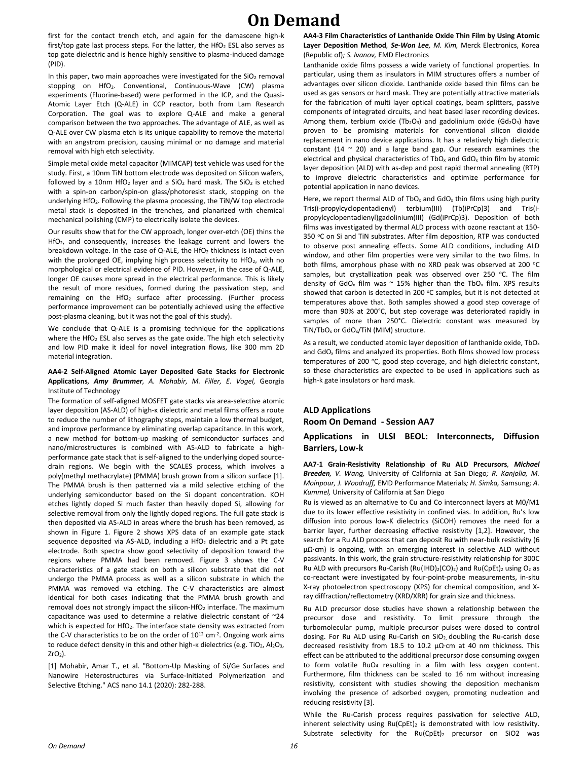first for the contact trench etch, and again for the damascene high-k first/top gate last process steps. For the latter, the HfO<sub>2</sub> ESL also serves as top gate dielectric and is hence highly sensitive to plasma-induced damage (PID).

In this paper, two main approaches were investigated for the  $SiO<sub>2</sub>$  removal stopping on HfO2. Conventional, Continuous-Wave (CW) plasma experiments (Fluorine-based) were performed in the ICP, and the Quasi-Atomic Layer Etch (Q-ALE) in CCP reactor, both from Lam Research Corporation. The goal was to explore Q-ALE and make a general comparison between the two approaches. The advantage of ALE, as well as Q-ALE over CW plasma etch is its unique capability to remove the material with an angstrom precision, causing minimal or no damage and material removal with high etch selectivity.

Simple metal oxide metal capacitor (MIMCAP) test vehicle was used for the study. First, a 10nm TiN bottom electrode was deposited on Silicon wafers, followed by a 10nm HfO<sub>2</sub> layer and a  $SiO<sub>2</sub>$  hard mask. The  $SiO<sub>2</sub>$  is etched with a spin-on carbon/spin-on glass/photoresist stack, stopping on the underlying  $HfO<sub>2</sub>$ . Following the plasma processing, the TiN/W top electrode metal stack is deposited in the trenches, and planarized with chemical mechanical polishing (CMP) to electrically isolate the devices.

Our results show that for the CW approach, longer over-etch (OE) thins the HfO2, and consequently, increases the leakage current and lowers the breakdown voltage. In the case of Q-ALE, the HfO<sub>2</sub> thickness is intact even with the prolonged OE, implying high process selectivity to HfO<sub>2</sub>, with no morphological or electrical evidence of PID. However, in the case of Q-ALE, longer OE causes more spread in the electrical performance. This is likely the result of more residues, formed during the passivation step, and remaining on the HfO<sub>2</sub> surface after processing. (Further process performance improvement can be potentially achieved using the effective post-plasma cleaning, but it was not the goal of this study).

We conclude that Q-ALE is a promising technique for the applications where the HfO<sub>2</sub> ESL also serves as the gate oxide. The high etch selectivity and low PID make it ideal for novel integration flows, like 300 mm 2D material integration.

#### **AA4-2 Self-Aligned Atomic Layer Deposited Gate Stacks for Electronic Applications***, Amy Brummer, A. Mohabir, M. Filler, E. Vogel,* Georgia Institute of Technology

The formation of self-aligned MOSFET gate stacks via area-selective atomic layer deposition (AS-ALD) of high-κ dielectric and metal films offers a route to reduce the number of lithography steps, maintain a low thermal budget, and improve performance by eliminating overlap capacitance. In this work, a new method for bottom-up masking of semiconductor surfaces and nano/microstructures is combined with AS-ALD to fabricate a highperformance gate stack that is self-aligned to the underlying doped sourcedrain regions. We begin with the SCALES process, which involves a poly(methyl methacrylate) (PMMA) brush grown from a silicon surface [1]. The PMMA brush is then patterned via a mild selective etching of the underlying semiconductor based on the Si dopant concentration. KOH etches lightly doped Si much faster than heavily doped Si, allowing for selective removal from only the lightly doped regions. The full gate stack is then deposited via AS-ALD in areas where the brush has been removed, as shown in Figure 1. Figure 2 shows XPS data of an example gate stack sequence deposited via AS-ALD, including a HfO<sub>2</sub> dielectric and a Pt gate electrode. Both spectra show good selectivity of deposition toward the regions where PMMA had been removed. Figure 3 shows the C-V characteristics of a gate stack on both a silicon substrate that did not undergo the PMMA process as well as a silicon substrate in which the PMMA was removed via etching. The C-V characteristics are almost identical for both cases indicating that the PMMA brush growth and removal does not strongly impact the silicon-HfO<sub>2</sub> interface. The maximum capacitance was used to determine a relative dielectric constant of ~24 which is expected for HfO<sub>2</sub>. The interface state density was extracted from the C-V characteristics to be on the order of  $10^{12}$  cm $^{-2}$ . Ongoing work aims to reduce defect density in this and other high-κ dielectrics (e.g. TiO<sub>2</sub>, Al<sub>2</sub>O<sub>3</sub>,  $ZrO<sub>2</sub>$ ).

[1] Mohabir, Amar T., et al. "Bottom-Up Masking of Si/Ge Surfaces and Nanowire Heterostructures via Surface-Initiated Polymerization and Selective Etching." ACS nano 14.1 (2020): 282-288.

**AA4-3 Film Characteristics of Lanthanide Oxide Thin Film by Using Atomic Layer Deposition Method***, Se-Won Lee, M. Kim,* Merck Electronics, Korea (Republic of)*; S. Ivanov,* EMD Electronics

Lanthanide oxide films possess a wide variety of functional properties. In particular, using them as insulators in MIM structures offers a number of advantages over silicon dioxide. Lanthanide oxide based thin films can be used as gas sensors or hard mask. They are potentially attractive materials for the fabrication of multi layer optical coatings, beam splitters, passive components of integrated circuits, and heat based laser recording devices. Among them, terbium oxide (Tb<sub>2</sub>O<sub>3</sub>) and gadolinium oxide (Gd<sub>2</sub>O<sub>3</sub>) have proven to be promising materials for conventional silicon dioxide replacement in nano device applications. It has a relatively high dielectric constant (14  $\approx$  20) and a large band gap. Our research examines the electrical and physical characteristics of  $TbO<sub>x</sub>$  and  $GdO<sub>x</sub>$  thin film by atomic layer deposition (ALD) with as-dep and post rapid thermal annealing (RTP) to improve dielectric characteristics and optimize performance for potential application in nano devices.

Here, we report thermal ALD of TbO<sub>x</sub> and GdO<sub>x</sub> thin films using high purity Tris(i-propylcyclopentadienyl) terbium(III) (Tb(iPrCp)3) and Tris(ipropylcyclopentadienyl)gadolinium(III) (Gd(iPrCp)3). Deposition of both films was investigated by thermal ALD process with ozone reactant at 150- 350 °C on Si and TiN substrates. After film deposition, RTP was conducted to observe post annealing effects. Some ALD conditions, including ALD window, and other film properties were very similar to the two films. In both films, amorphous phase with no XRD peak was observed at 200 °C samples, but crystallization peak was observed over 250  $^{\circ}$ C. The film density of GdO<sub>x</sub> film was  $\sim$  15% higher than the TbO<sub>x</sub> film. XPS results showed that carbon is detected in 200  $\degree$ C samples, but it is not detected at temperatures above that. Both samples showed a good step coverage of more than 90% at 200°C, but step coverage was deteriorated rapidly in samples of more than 250°C. Dielectric constant was measured by TiN/TbO<sup>x</sup> or GdOx/TiN (MIM) structure.

As a result, we conducted atomic layer deposition of lanthanide oxide,  $TbO<sub>x</sub>$ and GdO<sub>x</sub> films and analyzed its properties. Both films showed low process temperatures of 200 °C, good step coverage, and high dielectric constant, so these characteristics are expected to be used in applications such as high-k gate insulators or hard mask.

### **ALD Applications Room On Demand - Session AA7**

#### **Applications in ULSI BEOL: Interconnects, Diffusion Barriers, Low-k**

**AA7-1 Grain-Resistivity Relationship of Ru ALD Precursors***, Michael Breeden, V. Wang,* University of California at San Diego*; R. Kanjolia, M. Moinpour, J. Woodruff,* EMD Performance Materials*; H. Simka,* Samsung*; A. Kummel,* University of California at San Diego

Ru is viewed as an alternative to Cu and Co interconnect layers at M0/M1 due to its lower effective resistivity in confined vias. In addition, Ru's low diffusion into porous low-K dielectrics (SiCOH) removes the need for a barrier layer, further decreasing effective resistivity [1,2]. However, the search for a Ru ALD process that can deposit Ru with near-bulk resistivity (6 µΩ⋅cm) is ongoing, with an emerging interest in selective ALD without passivants. In this work, the grain structure-resistivity relationship for 300C Ru ALD with precursors Ru-Carish (Ru(IHD) $_2$ (CO) $_2$ ) and Ru(CpEt) $_2$  using O<sub>2</sub> as co-reactant were investigated by four-point-probe measurements, in-situ X-ray photoelectron spectroscopy (XPS) for chemical composition, and Xray diffraction/reflectometry (XRD/XRR) for grain size and thickness.

Ru ALD precursor dose studies have shown a relationship between the precursor dose and resistivity. To limit pressure through the turbomolecular pump, multiple precursor pulses were dosed to control dosing. For Ru ALD using Ru-Carish on SiO<sub>2</sub>, doubling the Ru-carish dose decreased resistivity from 18.5 to 10.2 µΩ∙cm at 40 nm thickness. This effect can be attributed to the additional precursor dose consuming oxygen to form volatile RuO<sub>4</sub> resulting in a film with less oxygen content. Furthermore, film thickness can be scaled to 16 nm without increasing resistivity, consistent with studies showing the deposition mechanism involving the presence of adsorbed oxygen, promoting nucleation and reducing resistivity [3].

While the Ru-Carish process requires passivation for selective ALD, inherent selectivity using  $Ru(CpEt)_2$  is demonstrated with low resistivity. Substrate selectivity for the Ru(CpEt)<sub>2</sub> precursor on SiO2 was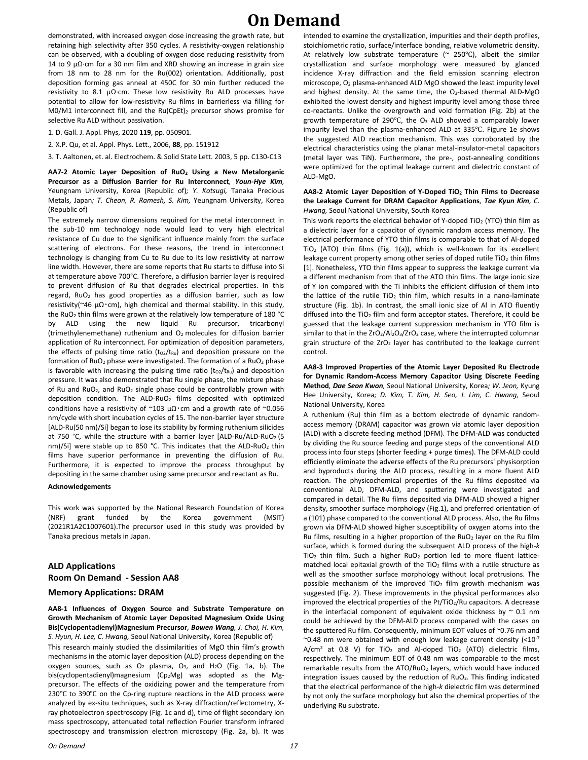demonstrated, with increased oxygen dose increasing the growth rate, but retaining high selectivity after 350 cycles. A resistivity-oxygen relationship can be observed, with a doubling of oxygen dose reducing resistivity from 14 to 9 μΩ⋅cm for a 30 nm film and XRD showing an increase in grain size from 18 nm to 28 nm for the Ru(002) orientation. Additionally, post deposition forming gas anneal at 450C for 30 min further reduced the resistivity to 8.1 µΩ∙cm. These low resistivity Ru ALD processes have potential to allow for low-resistivity Ru films in barrierless via filling for M0/M1 interconnect fill, and the Ru(CpEt)<sub>2</sub> precursor shows promise for selective Ru ALD without passivation.

1. D. Gall. J. Appl. Phys, 2020 **119**, pp. 050901.

2. X.P. Qu, et al. Appl. Phys. Lett., 2006, **88**, pp. 151912

3. T. Aaltonen, et. al. Electrochem. & Solid State Lett. 2003, 5 pp. C130-C13

**AA7-2 Atomic Layer Deposition of RuO<sup>2</sup> Using a New Metalorganic Precursor as a Diffusion Barrier for Ru Interconnect***, Youn-Hye Kim,*  Yeungnam University, Korea (Republic of)*; Y. Kotsugi,* Tanaka Precious Metals, Japan*; T. Cheon, R. Ramesh, S. Kim,* Yeungnam University, Korea (Republic of)

The extremely narrow dimensions required for the metal interconnect in the sub-10 nm technology node would lead to very high electrical resistance of Cu due to the significant influence mainly from the surface scattering of electrons. For these reasons, the trend in interconnect technology is changing from Cu to Ru due to its low resistivity at narrow line width. However, there are some reports that Ru starts to diffuse into Si at temperature above 700°C. Therefore, a diffusion barrier layer is required to prevent diffusion of Ru that degrades electrical properties. In this regard, RuO<sup>2</sup> has good properties as a diffusion barrier, such as low resistivity(~46 μΩ $\cdot$ cm), high chemical and thermal stability. In this study, the RuO<sub>2</sub> thin films were grown at the relatively low temperature of 180 °C by ALD using the new liquid Ru precursor, tricarbonyl (trimethylenemethane) ruthenium and O2 molecules for diffusion barrier application of Ru interconnect. For optimization of deposition parameters, the effects of pulsing time ratio  $(t_{O2}/t_{Ru})$  and deposition pressure on the formation of  $RuO<sub>2</sub>$  phase were investigated. The formation of a  $RuO<sub>2</sub>$  phase is favorable with increasing the pulsing time ratio  $(t_{O2}/t_{Ru})$  and deposition pressure. It was also demonstrated that Ru single phase, the mixture phase of Ru and RuO2, and RuO<sup>2</sup> single phase could be controllably grown with deposition condition. The ALD-RuO<sub>2</sub> films deposited with optimized conditions have a resistivity of ~103  $\mu\Omega$  cm and a growth rate of ~0.056 nm/cycle with short incubation cycles of 15. The non-barrier layer structure [ALD-Ru(50 nm)/Si] began to lose its stability by forming ruthenium silicides at 750 °C, while the structure with a barrier layer  $[ALD-Ru/ALD-RuO<sub>2</sub> (5$ nm)/Si] were stable up to 850 °C. This indicates that the  $ALD-RuO<sub>2</sub>$  thin films have superior performance in preventing the diffusion of Ru. Furthermore, it is expected to improve the process throughput by depositing in the same chamber using same precursor and reactant as Ru.

#### **Acknowledgements**

This work was supported by the National Research Foundation of Korea (NRF) grant funded by the Korea government (MSIT) (2021R1A2C1007601).The precursor used in this study was provided by Tanaka precious metals in Japan.

### **ALD Applications Room On Demand - Session AA8**

### **Memory Applications: DRAM**

**AA8-1 Influences of Oxygen Source and Substrate Temperature on Growth Mechanism of Atomic Layer Deposited Magnesium Oxide Using Bis(Cyclopentadienyl)Magnesium Precursor***, Bowen Wang, J. Choi, H. Kim, S. Hyun, H. Lee, C. Hwang,* Seoul National University, Korea (Republic of) This research mainly studied the dissimilarities of MgO thin film's growth mechanisms in the atomic layer deposition (ALD) process depending on the oxygen sources, such as  $O_2$  plasma,  $O_3$ , and  $H_2O$  (Fig. 1a, b). The bis(cyclopentadienyl)magnesium (Cp2Mg) was adopted as the Mgprecursor. The effects of the oxidizing power and the temperature from 230℃ to 390℃ on the Cp-ring rupture reactions in the ALD process were analyzed by ex-situ techniques, such as X-ray diffraction/reflectometry, Xray photoelectron spectroscopy (Fig. 1c and d), time of flight secondary ion mass spectroscopy, attenuated total reflection Fourier transform infrared spectroscopy and transmission electron microscopy (Fig. 2a, b). It was

intended to examine the crystallization, impurities and their depth profiles, stoichiometric ratio, surface/interface bonding, relative volumetric density. At relatively low substrate temperature (~ 250℃), albeit the similar crystallization and surface morphology were measured by glanced incidence X-ray diffraction and the field emission scanning electron microscope, O<sup>2</sup> plasma-enhanced ALD MgO showed the least impurity level and highest density. At the same time, the O<sub>3</sub>-based thermal ALD-MgO exhibited the lowest density and highest impurity level among those three co-reactants. Unlike the overgrowth and void formation (Fig. 2b) at the growth temperature of 290 $^{\circ}$ C, the O<sub>3</sub> ALD showed a comparably lower impurity level than the plasma-enhanced ALD at 335℃. Figure 1e shows the suggested ALD reaction mechanism. This was corroborated by the electrical characteristics using the planar metal-insulator-metal capacitors (metal layer was TiN). Furthermore, the pre-, post-annealing conditions were optimized for the optimal leakage current and dielectric constant of ALD-MgO.

#### **AA8-2 Atomic Layer Deposition of Y-Doped TiO<sup>2</sup> Thin Films to Decrease the Leakage Current for DRAM Capacitor Applications***, Tae Kyun Kim, C. Hwang,* Seoul National University, South Korea

This work reports the electrical behavior of Y-doped TiO<sub>2</sub> (YTO) thin film as a dielectric layer for a capacitor of dynamic random access memory. The electrical performance of YTO thin films is comparable to that of Al-doped TiO<sup>2</sup> (ATO) thin films (Fig. 1(a)), which is well-known for its excellent leakage current property among other series of doped rutile TiO<sub>2</sub> thin films [1]. Nonetheless, YTO thin films appear to suppress the leakage current via a different mechanism from that of the ATO thin films. The large ionic size of Y ion compared with the Ti inhibits the efficient diffusion of them into the lattice of the rutile TiO<sub>2</sub> thin film, which results in a nano-laminate structure (Fig. 1b). In contrast, the small ionic size of Al in ATO fluently diffused into the TiO<sub>2</sub> film and form acceptor states. Therefore, it could be guessed that the leakage current suppression mechanism in YTO film is similar to that in the  $ZrO_2/Al_2O_3/ZrO_2$  case, where the interrupted columnar grain structure of the  $ZrO<sub>2</sub>$  layer has contributed to the leakage current control.

**AA8-3 Improved Properties of the Atomic Layer Deposited Ru Electrode for Dynamic Random-Access Memory Capacitor Using Discrete Feeding Method***, Dae Seon Kwon,* Seoul National University, Korea*; W. Jeon,* Kyung Hee University, Korea*; D. Kim, T. Kim, H. Seo, J. Lim, C. Hwang,* Seoul National University, Korea

A ruthenium (Ru) thin film as a bottom electrode of dynamic randomaccess memory (DRAM) capacitor was grown via atomic layer deposition (ALD) with a discrete feeding method (DFM). The DFM-ALD was conducted by dividing the Ru source feeding and purge steps of the conventional ALD process into four steps (shorter feeding + purge times). The DFM-ALD could efficiently eliminate the adverse effects of the Ru precursors' physisorption and byproducts during the ALD process, resulting in a more fluent ALD reaction. The physicochemical properties of the Ru films deposited via conventional ALD, DFM-ALD, and sputtering were investigated and compared in detail. The Ru films deposited via DFM-ALD showed a higher density, smoother surface morphology (Fig.1), and preferred orientation of a (101) phase compared to the conventional ALD process. Also, the Ru films grown via DFM-ALD showed higher susceptibility of oxygen atoms into the Ru films, resulting in a higher proportion of the  $RuO<sub>2</sub>$  layer on the Ru film surface, which is formed during the subsequent ALD process of the high-*k* TiO<sub>2</sub> thin film. Such a higher RuO<sub>2</sub> portion led to more fluent latticematched local epitaxial growth of the TiO<sub>2</sub> films with a rutile structure as well as the smoother surface morphology without local protrusions. The possible mechanism of the improved  $TiO<sub>2</sub>$  film growth mechanism was suggested (Fig. 2). These improvements in the physical performances also improved the electrical properties of the Pt/TiO<sub>2</sub>/Ru capacitors. A decrease in the interfacial component of equivalent oxide thickness by  $\sim$  0.1 nm could be achieved by the DFM-ALD process compared with the cases on the sputtered Ru film. Consequently, minimum EOT values of ~0.76 nm and ~0.48 nm were obtained with enough low leakage current density  $(<10^{-7}$  $A/cm<sup>2</sup>$  at 0.8 V) for TiO<sub>2</sub> and Al-doped TiO<sub>2</sub> (ATO) dielectric films, respectively. The minimum EOT of 0.48 nm was comparable to the most remarkable results from the  $ATO/RuO<sub>2</sub>$  layers, which would have induced integration issues caused by the reduction of  $RuO<sub>2</sub>$ . This finding indicated that the electrical performance of the high-*k* dielectric film was determined by not only the surface morphology but also the chemical properties of the underlying Ru substrate.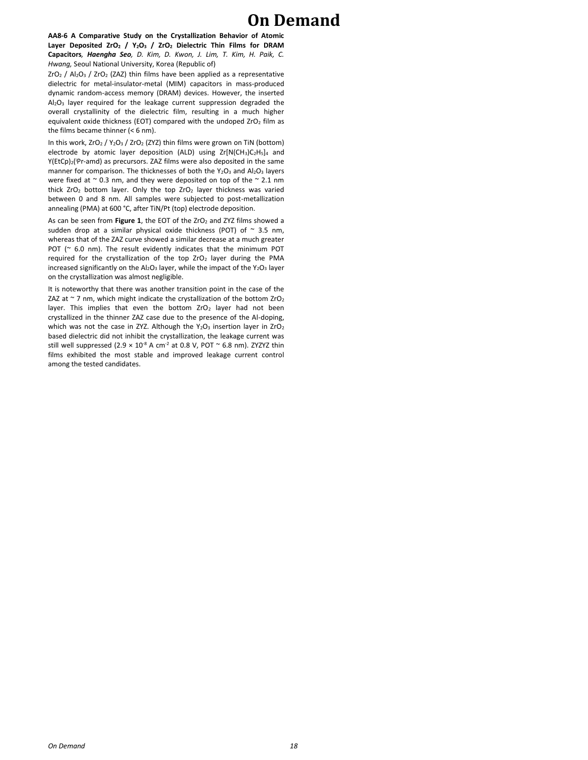**AA8-6 A Comparative Study on the Crystallization Behavior of Atomic Layer Deposited ZrO<sup>2</sup> / Y2O<sup>3</sup> / ZrO<sup>2</sup> Dielectric Thin Films for DRAM Capacitors***, Haengha Seo, D. Kim, D. Kwon, J. Lim, T. Kim, H. Paik, C. Hwang,* Seoul National University, Korea (Republic of)

 $ZrO<sub>2</sub>$  / Al<sub>2</sub>O<sub>3</sub> / ZrO<sub>2</sub> (ZAZ) thin films have been applied as a representative dielectric for metal-insulator-metal (MIM) capacitors in mass-produced dynamic random-access memory (DRAM) devices. However, the inserted Al2O<sup>3</sup> layer required for the leakage current suppression degraded the overall crystallinity of the dielectric film, resulting in a much higher equivalent oxide thickness (EOT) compared with the undoped  $ZrO<sub>2</sub>$  film as the films became thinner (< 6 nm).

In this work, ZrO<sub>2</sub> / Y<sub>2</sub>O<sub>3</sub> / ZrO<sub>2</sub> (ZYZ) thin films were grown on TiN (bottom) electrode by atomic layer deposition (ALD) using  $Zr[N(CH_3)C_2H_5]_4$  and Y(EtCp)<sub>2</sub>('Pr-amd) as precursors. ZAZ films were also deposited in the same manner for comparison. The thicknesses of both the  $Y_2O_3$  and  $Al_2O_3$  layers were fixed at  $\sim$  0.3 nm, and they were deposited on top of the  $\sim$  2.1 nm thick ZrO<sub>2</sub> bottom layer. Only the top ZrO<sub>2</sub> layer thickness was varied between 0 and 8 nm. All samples were subjected to post-metallization annealing (PMA) at 600 °C, after TiN/Pt (top) electrode deposition.

As can be seen from **Figure 1**, the EOT of the ZrO<sub>2</sub> and ZYZ films showed a sudden drop at a similar physical oxide thickness (POT) of  $\sim$  3.5 nm, whereas that of the ZAZ curve showed a similar decrease at a much greater POT (~ 6.0 nm). The result evidently indicates that the minimum POT required for the crystallization of the top  $ZrO<sub>2</sub>$  layer during the PMA increased significantly on the  $Al_2O_3$  layer, while the impact of the Y<sub>2</sub>O<sub>3</sub> layer on the crystallization was almost negligible.

It is noteworthy that there was another transition point in the case of the ZAZ at  $\sim$  7 nm, which might indicate the crystallization of the bottom ZrO<sub>2</sub> layer. This implies that even the bottom  $ZrO<sub>2</sub>$  layer had not been crystallized in the thinner ZAZ case due to the presence of the Al-doping, which was not the case in ZYZ. Although the  $Y_2O_3$  insertion layer in ZrO<sub>2</sub> based dielectric did not inhibit the crystallization, the leakage current was still well suppressed (2.9  $\times$  10<sup>-8</sup> A cm<sup>-2</sup> at 0.8 V, POT  $\sim$  6.8 nm). ZYZYZ thin films exhibited the most stable and improved leakage current control among the tested candidates.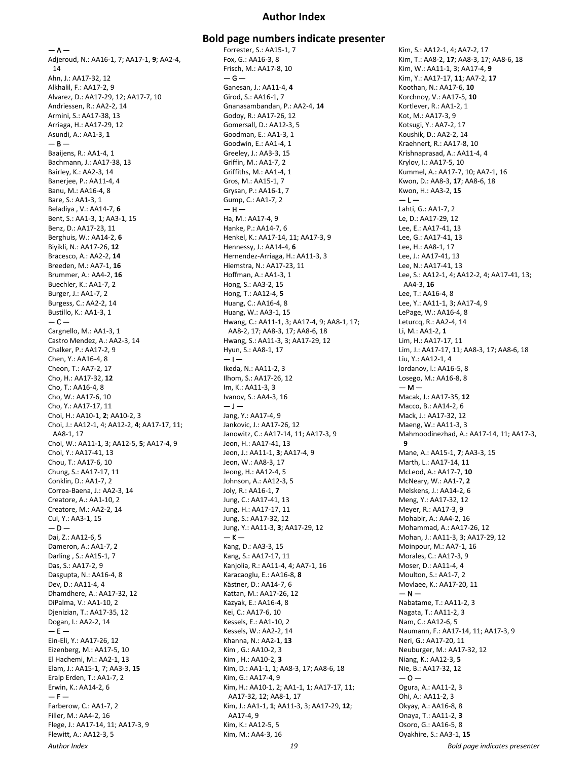### **Author Index**

 $-$  A – Adjeroud, N.: AA16-1, 7; AA17-1, **9**; AA2-4, 14 Ahn, J.: AA17-32, 12 Alkhalil, F.: AA17-2, 9 Alvarez, D.: AA17-29, 12; AA17-7, 10 Andriessen, R.: AA2-2, 14 Armini, S.: AA17-38, 13 Arriaga, H.: AA17-29, 12 Asundi, A.: AA1-3, **1**  $-$  B  $-$ Baaijens, R.: AA1-4, 1 Bachmann, J.: AA17-38, 13 Bairley, K.: AA2-3, 14 Banerjee, P.: AA11-4, 4 Banu, M.: AA16-4, 8 Bare, S.: AA1-3, 1 Beladiya , V.: AA14-7, **6** Bent, S.: AA1-3, 1; AA3-1, 15 Benz, D.: AA17-23, 11 Berghuis, W.: AA14-2, **6** Biyikli, N.: AA17-26, **12** Bracesco, A.: AA2-2, **14** Breeden, M.: AA7-1, **16** Brummer, A.: AA4-2, **16** Buechler, K.: AA1-7, 2 Burger, J.: AA1-7, 2 Burgess, C.: AA2-2, 14 Bustillo, K.: AA1-3, 1  $-$ Cargnello, M.: AA1-3, 1 Castro Mendez, A.: AA2-3, 14 Chalker, P.: AA17-2, 9 Chen, Y.: AA16-4, 8 Cheon, T.: AA7-2, 17 Cho, H.: AA17-32, **12** Cho, T.: AA16-4, 8 Cho, W.: AA17-6, 10 Cho, Y.: AA17-17, 11 Choi, H.: AA10-1, **2**; AA10-2, 3 Choi, J.: AA12-1, 4; AA12-2, **4**; AA17-17, 11; AA8-1, 17 Choi, W.: AA11-1, 3; AA12-5, **5**; AA17-4, 9 Choi, Y.: AA17-41, 13 Chou, T.: AA17-6, 10 Chung, S.: AA17-17, 11 Conklin, D.: AA1-7, 2 Correa-Baena, J.: AA2-3, 14 Creatore, A.: AA1-10, 2 Creatore, M.: AA2-2, 14 Cui, Y.: AA3-1, 15  $-$  D  $-$ Dai, Z.: AA12-6, 5 Dameron, A.: AA1-7, 2 Darling , S.: AA15-1, 7 Das, S.: AA17-2, 9 Dasgupta, N.: AA16-4, 8 Dev, D.: AA11-4, 4 Dhamdhere, A.: AA17-32, 12 DiPalma, V.: AA1-10, 2 Djenizian, T.: AA17-35, 12 Dogan, I.: AA2-2, 14  $- E -$ Ein-Eli, Y.: AA17-26, 12 Eizenberg, M.: AA17-5, 10 El Hachemi, M.: AA2-1, 13 Elam, J.: AA15-1, 7; AA3-3, **15** Eralp Erden, T.: AA1-7, 2 Erwin, K.: AA14-2, 6  $- F -$ Farberow, C.: AA1-7, 2 Filler, M.: AA4-2, 16 Flege, J.: AA17-14, 11; AA17-3, 9 Flewitt, A.: AA12-3, 5

### **Bold page numbers indicate presenter**

Forrester, S.: AA15-1, 7 Fox, G.: AA16-3, 8 Frisch, M.: AA17-8, 10  $-$ Ganesan, J.: AA11-4, **4** Girod, S.: AA16-1, 7 Gnanasambandan, P.: AA2-4, **14** Godoy, R.: AA17-26, 12 Gomersall, D.: AA12-3, 5 Goodman, E.: AA1-3, 1 Goodwin, E.: AA1-4, 1 Greeley, J.: AA3-3, 15 Griffin, M.: AA1-7, 2 Griffiths, M.: AA1-4, 1 Gros, M.: AA15-1, 7 Grysan, P.: AA16-1, 7 Gump, C.: AA1-7, 2  $-$  H  $-$ Ha, M.: AA17-4, 9 Hanke, P.: AA14-7, 6 Henkel, K.: AA17-14, 11; AA17-3, 9 Hennessy, J.: AA14-4, **6** Hernendez-Arriaga, H.: AA11-3, 3 Hiemstra, N.: AA17-23, 11 Hoffman, A.: AA1-3, 1 Hong, S.: AA3-2, 15 Hong, T.: AA12-4, **5** Huang, C.: AA16-4, 8 Huang, W.: AA3-1, 15 Hwang, C.: AA11-1, 3; AA17-4, 9; AA8-1, 17; AA8-2, 17; AA8-3, 17; AA8-6, 18 Hwang, S.: AA11-3, 3; AA17-29, 12 Hyun, S.: AA8-1, 17  $-1-$ Ikeda, N.: AA11-2, 3 Ilhom, S.: AA17-26, 12 Im, K.: AA11-3, 3 Ivanov, S.: AA4-3, 16  $-1-$ Jang, Y.: AA17-4, 9 Jankovic, J.: AA17-26, 12 Janowitz, C.: AA17-14, 11; AA17-3, 9 Jeon, H.: AA17-41, 13 Jeon, J.: AA11-1, **3**; AA17-4, 9 Jeon, W.: AA8-3, 17 Jeong, H.: AA12-4, 5 Johnson, A.: AA12-3, 5 Joly, R.: AA16-1, **7** Jung, C.: AA17-41, 13 Jung, H.: AA17-17, 11 Jung, S.: AA17-32, 12 Jung, Y.: AA11-3, **3**; AA17-29, 12  $-$  K  $-$ Kang, D.: AA3-3, 15 Kang, S.: AA17-17, 11 Kanjolia, R.: AA11-4, 4; AA7-1, 16 Karacaoglu, E.: AA16-8, **8** Kästner, D.: AA14-7, 6 Kattan, M.: AA17-26, 12 Kazyak, E.: AA16-4, 8 Kei, C.: AA17-6, 10 Kessels, E.: AA1-10, 2 Kessels, W.: AA2-2, 14 Khanna, N.: AA2-1, **13** Kim , G.: AA10-2, 3 Kim , H.: AA10-2, **3** Kim, D.: AA1-1, 1; AA8-3, 17; AA8-6, 18 Kim, G.: AA17-4, 9 Kim, H.: AA10-1, 2; AA1-1, 1; AA17-17, 11; AA17-32, 12; AA8-1, 17 Kim, J.: AA1-1, **1**; AA11-3, 3; AA17-29, **12**; AA17-4, 9 Kim, K.: AA12-5, 5 Kim, M.: AA4-3, 16

Kim, S.: AA12-1, 4; AA7-2, 17 Kim, T.: AA8-2, **17**; AA8-3, 17; AA8-6, 18 Kim, W.: AA11-1, 3; AA17-4, **9** Kim, Y.: AA17-17, **11**; AA7-2, **17** Koothan, N.: AA17-6, **10** Korchnoy, V.: AA17-5, **10** Kortlever, R.: AA1-2, 1 Kot, M.: AA17-3, 9 Kotsugi, Y.: AA7-2, 17 Koushik, D.: AA2-2, 14 Kraehnert, R.: AA17-8, 10 Krishnaprasad, A.: AA11-4, 4 Krylov, I.: AA17-5, 10 Kummel, A.: AA17-7, 10; AA7-1, 16 Kwon, D.: AA8-3, **17**; AA8-6, 18 Kwon, H.: AA3-2, **15**  $-1-$ Lahti, G.: AA1-7, 2 Le, D.: AA17-29, 12 Lee, E.: AA17-41, 13 Lee, G.: AA17-41, 13 Lee, H.: AA8-1, 17 Lee, J.: AA17-41, 13 Lee, N.: AA17-41, 13 Lee, S.: AA12-1, 4; AA12-2, 4; AA17-41, 13; AA4-3, **16** Lee, T.: AA16-4, 8 Lee, Y.: AA11-1, 3; AA17-4, 9 LePage, W.: AA16-4, 8 Leturcq, R.: AA2-4, 14 Li, M.: AA1-2, **1** Lim, H.: AA17-17, 11 Lim, J.: AA17-17, 11; AA8-3, 17; AA8-6, 18 Liu, Y.: AA12-1, 4 lordanov, l.: AA16-5, 8 Losego, M.: AA16-8, 8  $- M -$ Macak, J.: AA17-35, **12** Macco, B.: AA14-2, 6 Mack, J.: AA17-32, 12 Maeng, W.: AA11-3, 3 Mahmoodinezhad, A.: AA17-14, 11; AA17-3, **9** Mane, A.: AA15-1, **7**; AA3-3, 15 Marth, L.: AA17-14, 11 McLeod, A.: AA17-7, **10** McNeary, W.: AA1-7, **2** Melskens, J.: AA14-2, 6 Meng, Y.: AA17-32, 12 Meyer, R.: AA17-3, 9 Mohabir, A.: AA4-2, 16 Mohammad, A.: AA17-26, 12 Mohan, J.: AA11-3, 3; AA17-29, 12 Moinpour, M.: AA7-1, 16 Morales, C.: AA17-3, 9 Moser, D.: AA11-4, 4 Moulton, S.: AA1-7, 2 Movlaee, K.: AA17-20, 11  $- N -$ Nabatame, T.: AA11-2, 3 Nagata, T.: AA11-2, 3 Nam, C.: AA12-6, 5 Naumann, F.: AA17-14, 11; AA17-3, 9 Neri, G.: AA17-20, 11 Neuburger, M.: AA17-32, 12 Niang, K.: AA12-3, **5** Nie, B.: AA17-32, 12  $-0-$ Ogura, A.: AA11-2, 3 Ohi, A.: AA11-2, 3 Okyay, A.: AA16-8, 8 Onaya, T.: AA11-2, **3** Osoro, G.: AA16-5, 8 Oyakhire, S.: AA3-1, **15**